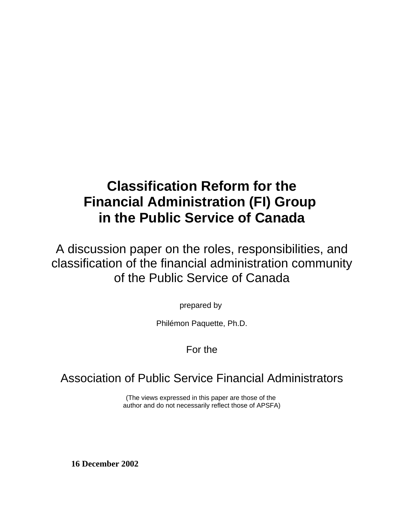# **Classification Reform for the Financial Administration (FI) Group in the Public Service of Canada**

A discussion paper on the roles, responsibilities, and classification of the financial administration community of the Public Service of Canada

prepared by

Philémon Paquette, Ph.D.

## For the

# Association of Public Service Financial Administrators

(The views expressed in this paper are those of the author and do not necessarily reflect those of APSFA)

**16 December 2002**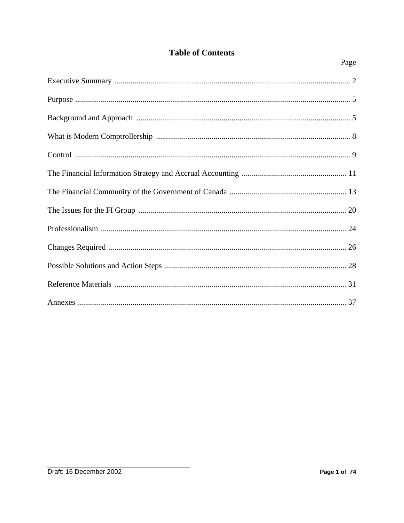## **Table of Contents**

Page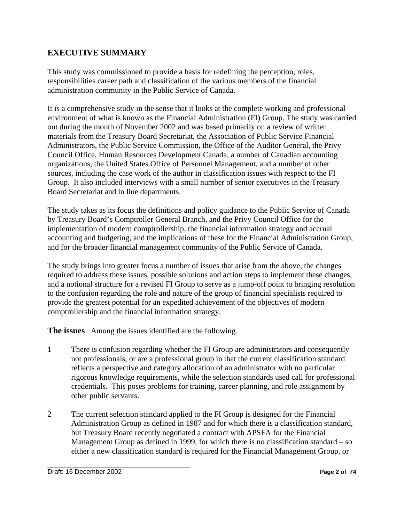## **EXECUTIVE SUMMARY**

This study was commissioned to provide a basis for redefining the perception, roles, responsibilities career path and classification of the various members of the financial administration community in the Public Service of Canada.

It is a comprehensive study in the sense that it looks at the complete working and professional environment of what is known as the Financial Administration (FI) Group. The study was carried out during the month of November 2002 and was based primarily on a review of written materials from the Treasury Board Secretariat, the Association of Public Service Financial Administrators, the Public Service Commission, the Office of the Auditor General, the Privy Council Office, Human Resources Development Canada, a number of Canadian accounting organizations, the United States Office of Personnel Management, and a number of other sources, including the case work of the author in classification issues with respect to the FI Group. It also included interviews with a small number of senior executives in the Treasury Board Secretariat and in line departments.

The study takes as its focus the definitions and policy guidance to the Public Service of Canada by Treasury Board's Comptroller General Branch, and the Privy Council Office for the implementation of modern comptrollership, the financial information strategy and accrual accounting and budgeting, and the implications of these for the Financial Administration Group, and for the broader financial management community of the Public Service of Canada.

The study brings into greater focus a number of issues that arise from the above, the changes required to address these issues, possible solutions and action steps to implement these changes, and a notional structure for a revised FI Group to serve as a jump-off point to bringing resolution to the confusion regarding the role and nature of the group of financial specialists required to provide the greatest potential for an expedited achievement of the objectives of modern comptrollership and the financial information strategy.

**The issues**. Among the issues identified are the following.

- 1 There is confusion regarding whether the FI Group are administrators and consequently not professionals, or are a professional group in that the current classification standard reflects a perspective and category allocation of an administrator with no particular rigorous knowledge requirements, while the selection standards used call for professional credentials. This poses problems for training, career planning, and role assignment by other public servants.
- 2 The current selection standard applied to the FI Group is designed for the Financial Administration Group as defined in 1987 and for which there is a classification standard, but Treasury Board recently negotiated a contract with APSFA for the Financial Management Group as defined in 1999, for which there is no classification standard – so either a new classification standard is required for the Financial Management Group, or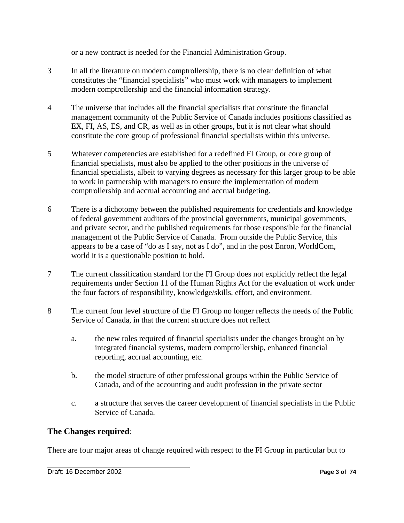or a new contract is needed for the Financial Administration Group.

- 3 In all the literature on modern comptrollership, there is no clear definition of what constitutes the "financial specialists" who must work with managers to implement modern comptrollership and the financial information strategy.
- 4 The universe that includes all the financial specialists that constitute the financial management community of the Public Service of Canada includes positions classified as EX, FI, AS, ES, and CR, as well as in other groups, but it is not clear what should constitute the core group of professional financial specialists within this universe.
- 5 Whatever competencies are established for a redefined FI Group, or core group of financial specialists, must also be applied to the other positions in the universe of financial specialists, albeit to varying degrees as necessary for this larger group to be able to work in partnership with managers to ensure the implementation of modern comptrollership and accrual accounting and accrual budgeting.
- 6 There is a dichotomy between the published requirements for credentials and knowledge of federal government auditors of the provincial governments, municipal governments, and private sector, and the published requirements for those responsible for the financial management of the Public Service of Canada. From outside the Public Service, this appears to be a case of "do as I say, not as I do", and in the post Enron, WorldCom, world it is a questionable position to hold.
- 7 The current classification standard for the FI Group does not explicitly reflect the legal requirements under Section 11 of the Human Rights Act for the evaluation of work under the four factors of responsibility, knowledge/skills, effort, and environment.
- 8 The current four level structure of the FI Group no longer reflects the needs of the Public Service of Canada, in that the current structure does not reflect
	- a. the new roles required of financial specialists under the changes brought on by integrated financial systems, modern comptrollership, enhanced financial reporting, accrual accounting, etc.
	- b. the model structure of other professional groups within the Public Service of Canada, and of the accounting and audit profession in the private sector
	- c. a structure that serves the career development of financial specialists in the Public Service of Canada.

#### **The Changes required**:

There are four major areas of change required with respect to the FI Group in particular but to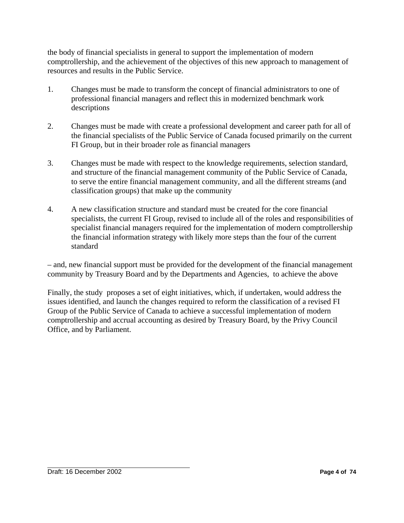the body of financial specialists in general to support the implementation of modern comptrollership, and the achievement of the objectives of this new approach to management of resources and results in the Public Service.

- 1. Changes must be made to transform the concept of financial administrators to one of professional financial managers and reflect this in modernized benchmark work descriptions
- 2. Changes must be made with create a professional development and career path for all of the financial specialists of the Public Service of Canada focused primarily on the current FI Group, but in their broader role as financial managers
- 3. Changes must be made with respect to the knowledge requirements, selection standard, and structure of the financial management community of the Public Service of Canada, to serve the entire financial management community, and all the different streams (and classification groups) that make up the community
- 4. A new classification structure and standard must be created for the core financial specialists, the current FI Group, revised to include all of the roles and responsibilities of specialist financial managers required for the implementation of modern comptrollership the financial information strategy with likely more steps than the four of the current standard

– and, new financial support must be provided for the development of the financial management community by Treasury Board and by the Departments and Agencies, to achieve the above

Finally, the study proposes a set of eight initiatives, which, if undertaken, would address the issues identified, and launch the changes required to reform the classification of a revised FI Group of the Public Service of Canada to achieve a successful implementation of modern comptrollership and accrual accounting as desired by Treasury Board, by the Privy Council Office, and by Parliament.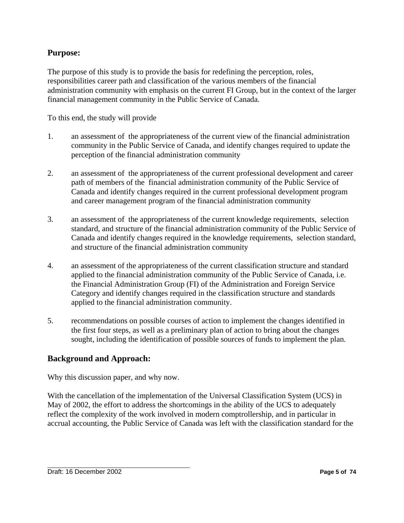#### **Purpose:**

The purpose of this study is to provide the basis for redefining the perception, roles, responsibilities career path and classification of the various members of the financial administration community with emphasis on the current FI Group, but in the context of the larger financial management community in the Public Service of Canada.

To this end, the study will provide

- 1. an assessment of the appropriateness of the current view of the financial administration community in the Public Service of Canada, and identify changes required to update the perception of the financial administration community
- 2. an assessment of the appropriateness of the current professional development and career path of members of the financial administration community of the Public Service of Canada and identify changes required in the current professional development program and career management program of the financial administration community
- 3. an assessment of the appropriateness of the current knowledge requirements, selection standard, and structure of the financial administration community of the Public Service of Canada and identify changes required in the knowledge requirements, selection standard, and structure of the financial administration community
- 4. an assessment of the appropriateness of the current classification structure and standard applied to the financial administration community of the Public Service of Canada, i.e. the Financial Administration Group (FI) of the Administration and Foreign Service Category and identify changes required in the classification structure and standards applied to the financial administration community.
- 5. recommendations on possible courses of action to implement the changes identified in the first four steps, as well as a preliminary plan of action to bring about the changes sought, including the identification of possible sources of funds to implement the plan.

#### **Background and Approach:**

Why this discussion paper, and why now.

With the cancellation of the implementation of the Universal Classification System (UCS) in May of 2002, the effort to address the shortcomings in the ability of the UCS to adequately reflect the complexity of the work involved in modern comptrollership, and in particular in accrual accounting, the Public Service of Canada was left with the classification standard for the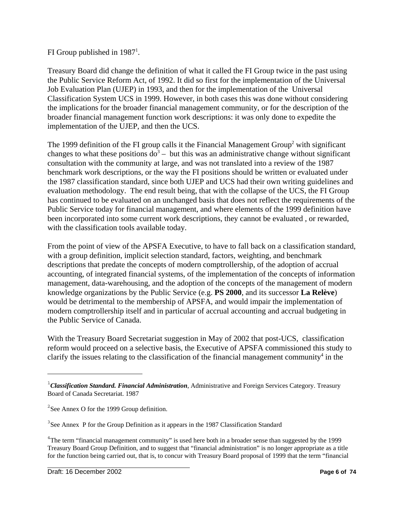#### FI Group published in  $1987<sup>1</sup>$ .

Treasury Board did change the definition of what it called the FI Group twice in the past using the Public Service Reform Act, of 1992. It did so first for the implementation of the Universal Job Evaluation Plan (UJEP) in 1993, and then for the implementation of the Universal Classification System UCS in 1999. However, in both cases this was done without considering the implications for the broader financial management community, or for the description of the broader financial management function work descriptions: it was only done to expedite the implementation of the UJEP, and then the UCS.

The 1999 definition of the FI group calls it the Financial Management Group<sup>2</sup> with significant changes to what these positions  $d\sigma^3$  – but this was an administrative change without significant consultation with the community at large, and was not translated into a review of the 1987 benchmark work descriptions, or the way the FI positions should be written or evaluated under the 1987 classification standard, since both UJEP and UCS had their own writing guidelines and evaluation methodology. The end result being, that with the collapse of the UCS, the FI Group has continued to be evaluated on an unchanged basis that does not reflect the requirements of the Public Service today for financial management, and where elements of the 1999 definition have been incorporated into some current work descriptions, they cannot be evaluated , or rewarded, with the classification tools available today.

From the point of view of the APSFA Executive, to have to fall back on a classification standard, with a group definition, implicit selection standard, factors, weighting, and benchmark descriptions that predate the concepts of modern comptrollership, of the adoption of accrual accounting, of integrated financial systems, of the implementation of the concepts of information management, data-warehousing, and the adoption of the concepts of the management of modern knowledge organizations by the Public Service (e.g. **PS 2000**, and its successor **La Relève**) would be detrimental to the membership of APSFA, and would impair the implementation of modern comptrollership itself and in particular of accrual accounting and accrual budgeting in the Public Service of Canada.

With the Treasury Board Secretariat suggestion in May of 2002 that post-UCS, classification reform would proceed on a selective basis, the Executive of APSFA commissioned this study to clarify the issues relating to the classification of the financial management community<sup>4</sup> in the

<sup>1</sup> *Classification Standard. Financial Administration*, Administrative and Foreign Services Category. Treasury Board of Canada Secretariat. 1987

 $2$ See Annex O for the 1999 Group definition.

<sup>&</sup>lt;sup>3</sup>See Annex P for the Group Definition as it appears in the 1987 Classification Standard

<sup>&</sup>lt;sup>4</sup>The term "financial management community" is used here both in a broader sense than suggested by the 1999 Treasury Board Group Definition, and to suggest that "financial administration" is no longer appropriate as a title for the function being carried out, that is, to concur with Treasury Board proposal of 1999 that the term "financial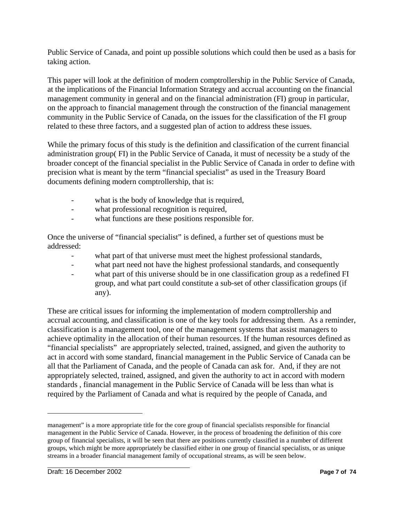Public Service of Canada, and point up possible solutions which could then be used as a basis for taking action.

This paper will look at the definition of modern comptrollership in the Public Service of Canada, at the implications of the Financial Information Strategy and accrual accounting on the financial management community in general and on the financial administration (FI) group in particular, on the approach to financial management through the construction of the financial management community in the Public Service of Canada, on the issues for the classification of the FI group related to these three factors, and a suggested plan of action to address these issues.

While the primary focus of this study is the definition and classification of the current financial administration group( FI) in the Public Service of Canada, it must of necessity be a study of the broader concept of the financial specialist in the Public Service of Canada in order to define with precision what is meant by the term "financial specialist" as used in the Treasury Board documents defining modern comptrollership, that is:

- what is the body of knowledge that is required,
- what professional recognition is required,
- what functions are these positions responsible for.

Once the universe of "financial specialist" is defined, a further set of questions must be addressed:

- what part of that universe must meet the highest professional standards,
- what part need not have the highest professional standards, and consequently
- what part of this universe should be in one classification group as a redefined FI group, and what part could constitute a sub-set of other classification groups (if any).

These are critical issues for informing the implementation of modern comptrollership and accrual accounting, and classification is one of the key tools for addressing them. As a reminder, classification is a management tool, one of the management systems that assist managers to achieve optimality in the allocation of their human resources. If the human resources defined as "financial specialists" are appropriately selected, trained, assigned, and given the authority to act in accord with some standard, financial management in the Public Service of Canada can be all that the Parliament of Canada, and the people of Canada can ask for. And, if they are not appropriately selected, trained, assigned, and given the authority to act in accord with modern standards , financial management in the Public Service of Canada will be less than what is required by the Parliament of Canada and what is required by the people of Canada, and

management" is a more appropriate title for the core group of financial specialists responsible for financial management in the Public Service of Canada. However, in the process of broadening the definition of this core group of financial specialists, it will be seen that there are positions currently classified in a number of different groups, which might be more appropriately be classified either in one group of financial specialists, or as unique streams in a broader financial management family of occupational streams, as will be seen below.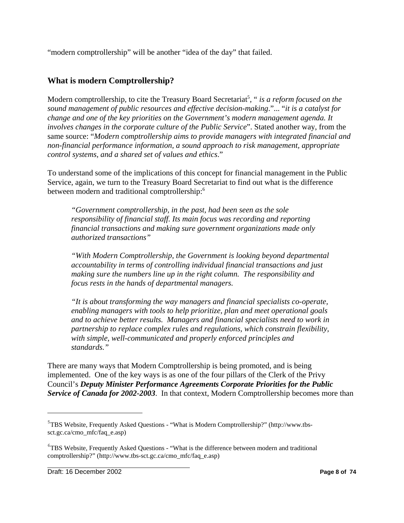"modern comptrollership" will be another "idea of the day" that failed.

#### **What is modern Comptrollership?**

Modern comptrollership, to cite the Treasury Board Secretariat<sup>5</sup>, "*is a reform focused on the sound management of public resources and effective decision-making*."... "*it is a catalyst for change and one of the key priorities on the Government's modern management agenda. It involves changes in the corporate culture of the Public Service*". Stated another way, from the same source: "*Modern comptrollership aims to provide managers with integrated financial and non-financial performance information, a sound approach to risk management, appropriate control systems, and a shared set of values and ethics*."

To understand some of the implications of this concept for financial management in the Public Service, again, we turn to the Treasury Board Secretariat to find out what is the difference between modern and traditional comptrollership:<sup>6</sup>

*"Government comptrollership, in the past, had been seen as the sole responsibility of financial staff. Its main focus was recording and reporting financial transactions and making sure government organizations made only authorized transactions"*

*"With Modern Comptrollership, the Government is looking beyond departmental accountability in terms of controlling individual financial transactions and just making sure the numbers line up in the right column. The responsibility and focus rests in the hands of departmental managers.*

*"It is about transforming the way managers and financial specialists co-operate, enabling managers with tools to help prioritize, plan and meet operational goals and to achieve better results. Managers and financial specialists need to work in partnership to replace complex rules and regulations, which constrain flexibility, with simple, well-communicated and properly enforced principles and standards."*

There are many ways that Modern Comptrollership is being promoted, and is being implemented. One of the key ways is as one of the four pillars of the Clerk of the Privy Council's *Deputy Minister Performance Agreements Corporate Priorities for the Public Service of Canada for 2002-2003*. In that context, Modern Comptrollership becomes more than

<sup>&</sup>lt;sup>5</sup>TBS Website, Frequently Asked Questions - "What is Modern Comptrollership?" (http://www.tbssct.gc.ca/cmo\_mfc/faq\_e.asp)

<sup>&</sup>lt;sup>6</sup>TBS Website, Frequently Asked Questions - "What is the difference between modern and traditional comptrollership?" (http://www.tbs-sct.gc.ca/cmo\_mfc/faq\_e.asp)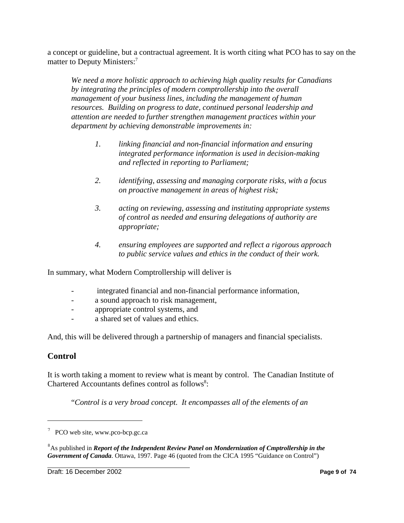a concept or guideline, but a contractual agreement. It is worth citing what PCO has to say on the matter to Deputy Ministers:<sup>7</sup>

*We need a more holistic approach to achieving high quality results for Canadians by integrating the principles of modern comptrollership into the overall management of your business lines, including the management of human resources. Building on progress to date, continued personal leadership and attention are needed to further strengthen management practices within your department by achieving demonstrable improvements in:*

- *1. linking financial and non-financial information and ensuring integrated performance information is used in decision-making and reflected in reporting to Parliament;*
- *2. identifying, assessing and managing corporate risks, with a focus on proactive management in areas of highest risk;*
- *3. acting on reviewing, assessing and instituting appropriate systems of control as needed and ensuring delegations of authority are appropriate;*
- *4. ensuring employees are supported and reflect a rigorous approach to public service values and ethics in the conduct of their work.*

In summary, what Modern Comptrollership will deliver is

- integrated financial and non-financial performance information,
- a sound approach to risk management,
- appropriate control systems, and
- a shared set of values and ethics.

And, this will be delivered through a partnership of managers and financial specialists.

#### **Control**

It is worth taking a moment to review what is meant by control. The Canadian Institute of Chartered Accountants defines control as follows<sup>8</sup>:

"*Control is a very broad concept. It encompasses all of the elements of an*

PCO web site, www.pco-bcp.gc.ca

<sup>&</sup>lt;sup>8</sup> As published in *Report of the Independent Review Panel on Mondernization of Cmptrollership in the Government of Canada*. Ottawa, 1997. Page 46 (quoted from the CICA 1995 "Guidance on Control")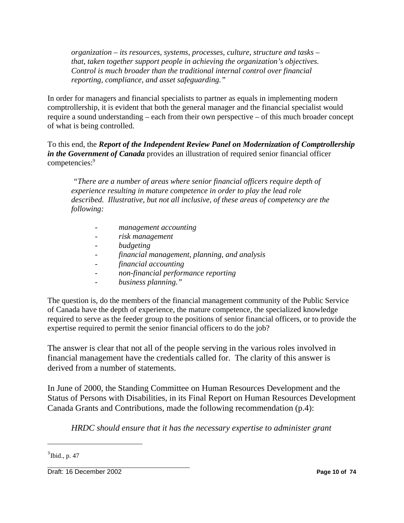*organization – its resources, systems, processes, culture, structure and tasks – that, taken together support people in achieving the organization's objectives. Control is much broader than the traditional internal control over financial reporting, compliance, and asset safeguarding."*

In order for managers and financial specialists to partner as equals in implementing modern comptrollership, it is evident that both the general manager and the financial specialist would require a sound understanding – each from their own perspective – of this much broader concept of what is being controlled.

To this end, the *Report of the Independent Review Panel on Modernization of Comptrollership in the Government of Canada* provides an illustration of required senior financial officer competencies:<sup>9</sup>

*"There are a number of areas where senior financial officers require depth of experience resulting in mature competence in order to play the lead role described. Illustrative, but not all inclusive, of these areas of competency are the following:*

- *management accounting*
- *risk management*
- *budgeting*
- *financial management, planning, and analysis*
- *financial accounting*
- *non-financial performance reporting*
- *business planning."*

The question is, do the members of the financial management community of the Public Service of Canada have the depth of experience, the mature competence, the specialized knowledge required to serve as the feeder group to the positions of senior financial officers, or to provide the expertise required to permit the senior financial officers to do the job?

The answer is clear that not all of the people serving in the various roles involved in financial management have the credentials called for. The clarity of this answer is derived from a number of statements.

In June of 2000, the Standing Committee on Human Resources Development and the Status of Persons with Disabilities, in its Final Report on Human Resources Development Canada Grants and Contributions, made the following recommendation (p.4):

*HRDC should ensure that it has the necessary expertise to administer grant*

Draft: 16 December 2002 **Page 10 of 74**

 $<sup>9</sup>$ Ibid., p. 47</sup>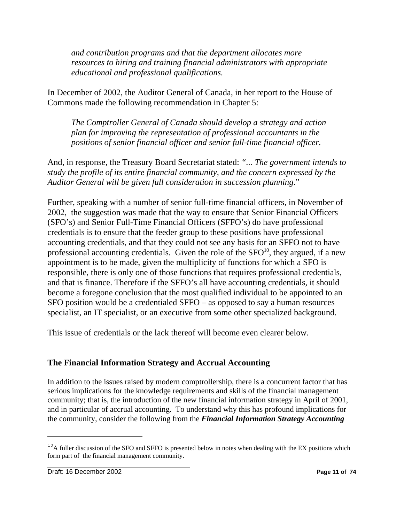*and contribution programs and that the department allocates more resources to hiring and training financial administrators with appropriate educational and professional qualifications.*

In December of 2002, the Auditor General of Canada, in her report to the House of Commons made the following recommendation in Chapter 5:

*The Comptroller General of Canada should develop a strategy and action plan for improving the representation of professional accountants in the positions of senior financial officer and senior full-time financial officer.*

And, in response, the Treasury Board Secretariat stated: *"... The government intends to study the profile of its entire financial community, and the concern expressed by the Auditor General will be given full consideration in succession planning*."

Further, speaking with a number of senior full-time financial officers, in November of 2002, the suggestion was made that the way to ensure that Senior Financial Officers (SFO's) and Senior Full-Time Financial Officers (SFFO's) do have professional credentials is to ensure that the feeder group to these positions have professional accounting credentials, and that they could not see any basis for an SFFO not to have professional accounting credentials. Given the role of the  $SFO^{10}$ , they argued, if a new appointment is to be made, given the multiplicity of functions for which a SFO is responsible, there is only one of those functions that requires professional credentials, and that is finance. Therefore if the SFFO's all have accounting credentials, it should become a foregone conclusion that the most qualified individual to be appointed to an SFO position would be a credentialed SFFO – as opposed to say a human resources specialist, an IT specialist, or an executive from some other specialized background.

This issue of credentials or the lack thereof will become even clearer below.

## **The Financial Information Strategy and Accrual Accounting**

In addition to the issues raised by modern comptrollership, there is a concurrent factor that has serious implications for the knowledge requirements and skills of the financial management community; that is, the introduction of the new financial information strategy in April of 2001, and in particular of accrual accounting. To understand why this has profound implications for the community, consider the following from the *Financial Information Strategy Accounting*

 $10<sup>10</sup>$ A fuller discussion of the SFO and SFFO is presented below in notes when dealing with the EX positions which form part of the financial management community.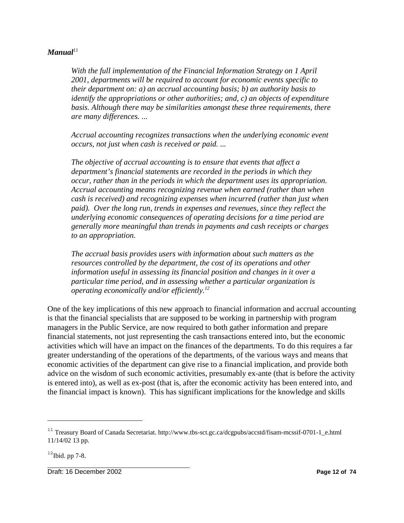#### $Manual<sup>11</sup>$

*With the full implementation of the Financial Information Strategy on 1 April 2001, departments will be required to account for economic events specific to their department on: a) an accrual accounting basis; b) an authority basis to identify the appropriations or other authorities; and, c) an objects of expenditure basis. Although there may be similarities amongst these three requirements, there are many differences. ...*

*Accrual accounting recognizes transactions when the underlying economic event occurs, not just when cash is received or paid. ...* 

*The objective of accrual accounting is to ensure that events that affect a department's financial statements are recorded in the periods in which they occur, rather than in the periods in which the department uses its appropriation. Accrual accounting means recognizing revenue when earned (rather than when cash is received) and recognizing expenses when incurred (rather than just when paid). Over the long run, trends in expenses and revenues, since they reflect the underlying economic consequences of operating decisions for a time period are generally more meaningful than trends in payments and cash receipts or charges to an appropriation.*

*The accrual basis provides users with information about such matters as the resources controlled by the department, the cost of its operations and other information useful in assessing its financial position and changes in it over a particular time period, and in assessing whether a particular organization is operating economically and/or efficiently.12*

One of the key implications of this new approach to financial information and accrual accounting is that the financial specialists that are supposed to be working in partnership with program managers in the Public Service, are now required to both gather information and prepare financial statements, not just representing the cash transactions entered into, but the economic activities which will have an impact on the finances of the departments. To do this requires a far greater understanding of the operations of the departments, of the various ways and means that economic activities of the department can give rise to a financial implication, and provide both advice on the wisdom of such economic activities, presumably ex-ante (that is before the activity is entered into), as well as ex-post (that is, after the economic activity has been entered into, and the financial impact is known). This has significant implications for the knowledge and skills

Draft: 16 December 2002 **Page 12 of 74**

<sup>&</sup>lt;sup>11</sup> Treasury Board of Canada Secretariat. http://www.tbs-sct.gc.ca/dcgpubs/accstd/fisam-mcssif-0701-1\_e.html 11/14/02 13 pp.

 $12$ Ibid. pp 7-8.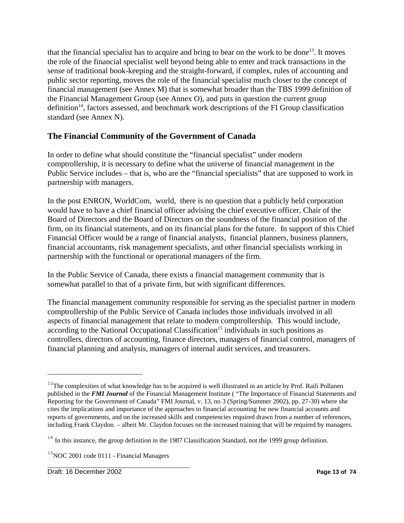that the financial specialist has to acquire and bring to bear on the work to be done<sup>13</sup>. It moves the role of the financial specialist well beyond being able to enter and track transactions in the sense of traditional book-keeping and the straight-forward, if complex, rules of accounting and public sector reporting, moves the role of the financial specialist much closer to the concept of financial management (see Annex M) that is somewhat broader than the TBS 1999 definition of the Financial Management Group (see Annex O), and puts in question the current group definition<sup>14</sup>, factors assessed, and benchmark work descriptions of the FI Group classification standard (see Annex N).

### **The Financial Community of the Government of Canada**

In order to define what should constitute the "financial specialist" under modern comptrollership, it is necessary to define what the universe of financial management in the Public Service includes – that is, who are the "financial specialists" that are supposed to work in partnership with managers.

In the post ENRON, WorldCom, world, there is no question that a publicly held corporation would have to have a chief financial officer advising the chief executive officer, Chair of the Board of Directors and the Board of Directors on the soundness of the financial position of the firm, on its financial statements, and on its financial plans for the future. In support of this Chief Financial Officer would be a range of financial analysts, financial planners, business planners, financial accountants, risk management specialists, and other financial specialists working in partnership with the functional or operational managers of the firm.

In the Public Service of Canada, there exists a financial management community that is somewhat parallel to that of a private firm, but with significant differences.

The financial management community responsible for serving as the specialist partner in modern comptrollership of the Public Service of Canada includes those individuals involved in all aspects of financial management that relate to modern comptrollership. This would include, according to the National Occupational Classification<sup>15</sup> individuals in such positions as controllers, directors of accounting, finance directors, managers of financial control, managers of financial planning and analysis, managers of internal audit services, and treasurers.

 $13$ The complexities of what knowledge has to be acquired is well illustrated in an article by Prof. Raili Pollanen published in the *FMI Journal* of the Financial Management Institute ( "The Importance of Financial Statements and Reporting for the Government of Canada" FMI Journal, v. 13, no 3 (Spring/Summer 2002), pp. 27-30) where she cites the implications and importance of the approaches to financial accounting for new financial accounts and reports of governments, and on the increased skills and competencies required drawn from a number of references, including Frank Claydon. – albeit Mr. Claydon focuses on the increased training that will be required by managers.

 $14$  In this instance, the group definition in the 1987 Classification Standard, not the 1999 group definition.

 $15NOC$  2001 code 0111 - Financial Managers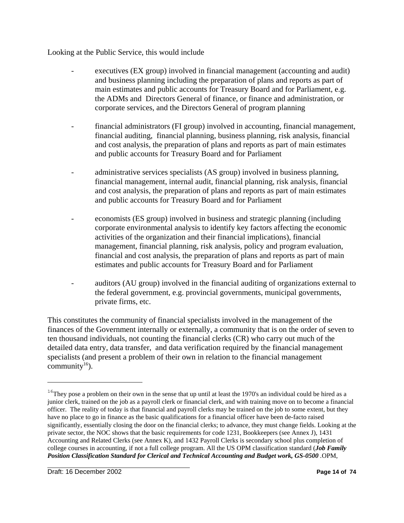Looking at the Public Service, this would include

- executives (EX group) involved in financial management (accounting and audit) and business planning including the preparation of plans and reports as part of main estimates and public accounts for Treasury Board and for Parliament, e.g. the ADMs and Directors General of finance, or finance and administration, or corporate services, and the Directors General of program planning
- financial administrators (FI group) involved in accounting, financial management, financial auditing, financial planning, business planning, risk analysis, financial and cost analysis, the preparation of plans and reports as part of main estimates and public accounts for Treasury Board and for Parliament
- administrative services specialists (AS group) involved in business planning, financial management, internal audit, financial planning, risk analysis, financial and cost analysis, the preparation of plans and reports as part of main estimates and public accounts for Treasury Board and for Parliament
- economists (ES group) involved in business and strategic planning (including corporate environmental analysis to identify key factors affecting the economic activities of the organization and their financial implications), financial management, financial planning, risk analysis, policy and program evaluation, financial and cost analysis, the preparation of plans and reports as part of main estimates and public accounts for Treasury Board and for Parliament
- auditors (AU group) involved in the financial auditing of organizations external to the federal government, e.g. provincial governments, municipal governments, private firms, etc.

This constitutes the community of financial specialists involved in the management of the finances of the Government internally or externally, a community that is on the order of seven to ten thousand individuals, not counting the financial clerks (CR) who carry out much of the detailed data entry, data transfer, and data verification required by the financial management specialists (and present a problem of their own in relation to the financial management community<sup>16</sup>).

<sup>&</sup>lt;sup>16</sup>They pose a problem on their own in the sense that up until at least the 1970's an individual could be hired as a junior clerk, trained on the job as a payroll clerk or financial clerk, and with training move on to become a financial officer. The reality of today is that financial and payroll clerks may be trained on the job to some extent, but they have no place to go in finance as the basic qualifications for a financial officer have been de-facto raised significantly, essentially closing the door on the financial clerks; to advance, they must change fields. Looking at the private sector, the NOC shows that the basic requirements for code 1231, Bookkeepers (see Annex J), 1431 Accounting and Related Clerks (see Annex K), and 1432 Payroll Clerks is secondary school plus completion of college courses in accounting, if not a full college program. All the US OPM classification standard (*Job Family Position Classification Standard for Clerical and Technical Accounting and Budget work, GS-0500 .*OPM,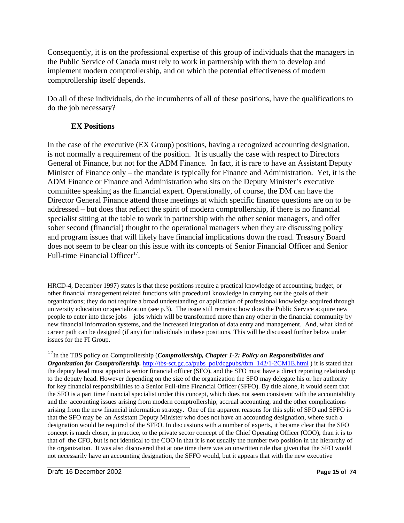Consequently, it is on the professional expertise of this group of individuals that the managers in the Public Service of Canada must rely to work in partnership with them to develop and implement modern comptrollership, and on which the potential effectiveness of modern comptrollership itself depends.

Do all of these individuals, do the incumbents of all of these positions, have the qualifications to do the job necessary?

#### **EX Positions**

In the case of the executive (EX Group) positions, having a recognized accounting designation, is not normally a requirement of the position. It is usually the case with respect to Directors General of Finance, but not for the ADM Finance. In fact, it is rare to have an Assistant Deputy Minister of Finance only – the mandate is typically for Finance and Administration. Yet, it is the ADM Finance or Finance and Administration who sits on the Deputy Minister's executive committee speaking as the financial expert. Operationally, of course, the DM can have the Director General Finance attend those meetings at which specific finance questions are on to be addressed – but does that reflect the spirit of modern comptrollership, if there is no financial specialist sitting at the table to work in partnership with the other senior managers, and offer sober second (financial) thought to the operational managers when they are discussing policy and program issues that will likely have financial implications down the road. Treasury Board does not seem to be clear on this issue with its concepts of Senior Financial Officer and Senior Full-time Financial Officer<sup>17</sup>.

HRCD-4, December 1997) states is that these positions require a practical knowledge of accounting, budget, or other financial management related functions with procedural knowledge in carrying out the goals of their organizations; they do not require a broad understanding or application of professional knowledge acquired through university education or specialization (see p.3). The issue still remains: how does the Public Service acquire new people to enter into these jobs – jobs which will be transformed more than any other in the financial community by new financial information systems, and the increased integration of data entry and management. And, what kind of career path can be designed (if any) for individuals in these positions. This will be discussed further below under issues for the FI Group.

<sup>&</sup>lt;sup>17</sup>In the TBS policy on Comptrollership (*Comptrollership*, *Chapter 1-2: Policy on Responsibilities and Organization for Comptrollership.* http://tbs-sct.gc.ca/pubs\_pol/dcgpubs/tbm\_142/1-2CM1E.html ) it is stated that the deputy head must appoint a senior financial officer (SFO), and the SFO must have a direct reporting relationship to the deputy head. However depending on the size of the organization the SFO may delegate his or her authority for key financial responsibilities to a Senior Full-time Financial Officer (SFFO). By title alone, it would seem that the SFO is a part time financial specialist under this concept, which does not seem consistent with the accountability and the accounting issues arising from modern comptrollership, accrual accounting, and the other complications arising from the new financial information strategy. One of the apparent reasons for this split of SFO and SFFO is that the SFO may be an Assistant Deputy Minister who does not have an accounting designation, where such a designation would be required of the SFFO. In discussions with a number of experts, it became clear that the SFO concept is much closer, in practice, to the private sector concept of the Chief Operating Officer (COO), than it is to that of the CFO, but is not identical to the COO in that it is not usually the number two position in the hierarchy of the organization. It was also discovered that at one time there was an unwritten rule that given that the SFO would not necessarily have an accounting designation, the SFFO would, but it appears that with the new executive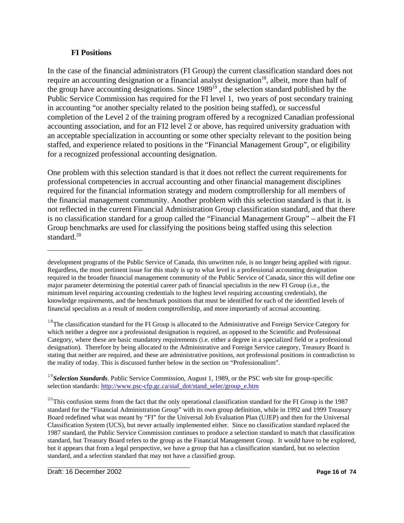#### **FI Positions**

In the case of the financial administrators (FI Group) the current classification standard does not require an accounting designation or a financial analyst designation<sup>18</sup>, albeit, more than half of the group have accounting designations. Since 1989<sup>19</sup>, the selection standard published by the Public Service Commission has required for the FI level 1, two years of post secondary training in accounting "or another specialty related to the position being staffed), or successful completion of the Level 2 of the training program offered by a recognized Canadian professional accounting association, and for an FI2 level 2 or above, has required university graduation with an acceptable specialization in accounting or some other specialty relevant to the position being staffed, and experience related to positions in the "Financial Management Group", or eligibility for a recognized professional accounting designation.

One problem with this selection standard is that it does not reflect the current requirements for professional competencies in accrual accounting and other financial management disciplines required for the financial information strategy and modern comptrollership for all members of the financial management community. Another problem with this selection standard is that it. is not reflected in the current Financial Administration Group classification standard, and that there is no classification standard for a group called the "Financial Management Group" – albeit the FI Group benchmarks are used for classifying the positions being staffed using this selection standard.<sup>20</sup>

<sup>18</sup>The classification standard for the FI Group is allocated to the Administrative and Foreign Service Category for which neither a degree nor a professional designation is required, as opposed to the Scientific and Professional Category, where these are basic mandatory requirements (i.e. either a degree in a specialized field or a professional designation). Therefore by being allocated to the Administrative and Foreign Service category, Treasury Board is stating that neither are required, and these are administrative positions, not professional positions in contradiction to the reality of today. This is discussed further below in the section on "Professionalism".

development programs of the Public Service of Canada, this unwritten rule, is no longer being applied with rigour. Regardless, the most pertinent issue for this study is up to what level is a professional accounting designation required in the broader financial management community of the Public Service of Canada, since this will define one major parameter determining the potential career path of financial specialists in the new FI Group (i.e., the minimum level requiring accounting credentials to the highest level requiring accounting credentials), the knowledge requirements, and the benchmark positions that must be identified for each of the identified levels of financial specialists as a result of modern comptrollership, and more importantly of accrual accounting.

<sup>&</sup>lt;sup>19</sup>Selection Standards. Public Service Commission, August 1, 1989, or the PSC web site for group-specific selection standards: http://www.psc-cfp.gc.ca/staf\_dot/stand\_selec/group\_e.htm

 $20$ <sup>20</sup>This confusion stems from the fact that the only operational classification standard for the FI Group is the 1987 standard for the "Financial Administration Group" with its own group definition, while in 1992 and 1999 Treasury Board redefined what was meant by "FI" for the Universal Job Evaluation Plan (UJEP) and then for the Universal Classification System (UCS), but never actually implemented either. Since no classification standard replaced the 1987 standard, the Public Service Commission continues to produce a selection standard to match that classification standard, but Treasury Board refers to the group as the Financial Management Group. It would have to be explored, but it appears that from a legal perspective, we have a group that has a classification standard, but no selection standard, and a selection standard that may not have a classified group.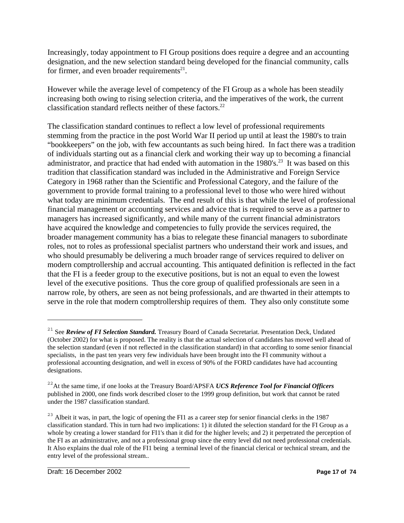Increasingly, today appointment to FI Group positions does require a degree and an accounting designation, and the new selection standard being developed for the financial community, calls for firmer, and even broader requirements<sup>21</sup>.

However while the average level of competency of the FI Group as a whole has been steadily increasing both owing to rising selection criteria, and the imperatives of the work, the current classification standard reflects neither of these factors. $^{22}$ 

The classification standard continues to reflect a low level of professional requirements stemming from the practice in the post World War II period up until at least the 1980's to train "bookkeepers" on the job, with few accountants as such being hired. In fact there was a tradition of individuals starting out as a financial clerk and working their way up to becoming a financial administrator, and practice that had ended with automation in the 1980's.<sup>23</sup> It was based on this tradition that classification standard was included in the Administrative and Foreign Service Category in 1968 rather than the Scientific and Professional Category, and the failure of the government to provide formal training to a professional level to those who were hired without what today are minimum credentials. The end result of this is that while the level of professional financial management or accounting services and advice that is required to serve as a partner to managers has increased significantly, and while many of the current financial administrators have acquired the knowledge and competencies to fully provide the services required, the broader management community has a bias to relegate these financial managers to subordinate roles, not to roles as professional specialist partners who understand their work and issues, and who should presumably be delivering a much broader range of services required to deliver on modern comptrollership and accrual accounting. This antiquated definition is reflected in the fact that the FI is a feeder group to the executive positions, but is not an equal to even the lowest level of the executive positions. Thus the core group of qualified professionals are seen in a narrow role, by others, are seen as not being professionals, and are thwarted in their attempts to serve in the role that modern comptrollership requires of them. They also only constitute some

<sup>&</sup>lt;sup>21</sup> See *Review of FI Selection Standard*. Treasury Board of Canada Secretariat. Presentation Deck, Undated (October 2002) for what is proposed. The reality is that the actual selection of candidates has moved well ahead of the selection standard (even if not reflected in the classification standard) in that according to some senior financial specialists, in the past ten years very few individuals have been brought into the FI community without a professional accounting designation, and well in excess of 90% of the FORD candidates have had accounting designations.

<sup>22</sup>At the same time, if one looks at the Treasury Board/APSFA *UCS Reference Tool for Financial Officers* published in 2000, one finds work described closer to the 1999 group definition, but work that cannot be rated under the 1987 classification standard.

<sup>&</sup>lt;sup>23</sup> Albeit it was, in part, the logic of opening the FI1 as a career step for senior financial clerks in the 1987 classification standard. This in turn had two implications: 1) it diluted the selection standard for the FI Group as a whole by creating a lower standard for FI1's than it did for the higher levels; and 2) it perpetrated the perception of the FI as an administrative, and not a professional group since the entry level did not need professional credentials. It Also explains the dual role of the FI1 being a terminal level of the financial clerical or technical stream, and the entry level of the professional stream..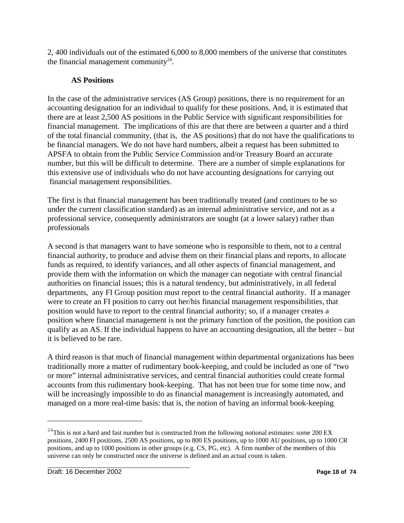2, 400 individuals out of the estimated 6,000 to 8,000 members of the universe that constitutes the financial management community $24$ .

#### **AS Positions**

In the case of the administrative services (AS Group) positions, there is no requirement for an accounting designation for an individual to qualify for these positions. And, it is estimated that there are at least 2,500 AS positions in the Public Service with significant responsibilities for financial management. The implications of this are that there are between a quarter and a third of the total financial community, (that is, the AS positions) that do not have the qualifications to be financial managers. We do not have hard numbers, albeit a request has been submitted to APSFA to obtain from the Public Service Commission and/or Treasury Board an accurate number, but this will be difficult to determine. There are a number of simple explanations for this extensive use of individuals who do not have accounting designations for carrying out financial management responsibilities.

The first is that financial management has been traditionally treated (and continues to be so under the current classification standard) as an internal administrative service, and not as a professional service, consequently administrators are sought (at a lower salary) rather than professionals

A second is that managers want to have someone who is responsible to them, not to a central financial authority, to produce and advise them on their financial plans and reports, to allocate funds as required, to identify variances, and all other aspects of financial management, and provide them with the information on which the manager can negotiate with central financial authorities on financial issues; this is a natural tendency, but administratively, in all federal departments, any FI Group position must report to the central financial authority. If a manager were to create an FI position to carry out her/his financial management responsibilities, that position would have to report to the central financial authority; so, if a manager creates a position where financial management is not the primary function of the position, the position can qualify as an AS. If the individual happens to have an accounting designation, all the better – but it is believed to be rare.

A third reason is that much of financial management within departmental organizations has been traditionally more a matter of rudimentary book-keeping, and could be included as one of "two or more" internal administrative services, and central financial authorities could create formal accounts from this rudimentary book-keeping. That has not been true for some time now, and will be increasingly impossible to do as financial management is increasingly automated, and managed on a more real-time basis: that is, the notion of having an informal book-keeping

 $^{24}$ This is not a hard and fast number but is constructed from the following notional estimates: some 200 EX positions, 2400 FI positions, 2500 AS positions, up to 800 ES positions, up to 1000 AU positions, up to 1000 CR positions, and up to 1000 positions in other groups (e.g. CS, PG, etc). A firm number of the members of this universe can only be constructed once the universe is defined and an actual count is taken.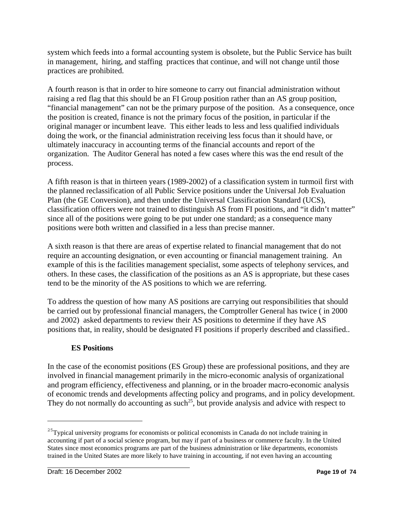system which feeds into a formal accounting system is obsolete, but the Public Service has built in management, hiring, and staffing practices that continue, and will not change until those practices are prohibited.

A fourth reason is that in order to hire someone to carry out financial administration without raising a red flag that this should be an FI Group position rather than an AS group position, "financial management" can not be the primary purpose of the position. As a consequence, once the position is created, finance is not the primary focus of the position, in particular if the original manager or incumbent leave. This either leads to less and less qualified individuals doing the work, or the financial administration receiving less focus than it should have, or ultimately inaccuracy in accounting terms of the financial accounts and report of the organization. The Auditor General has noted a few cases where this was the end result of the process.

A fifth reason is that in thirteen years (1989-2002) of a classification system in turmoil first with the planned reclassification of all Public Service positions under the Universal Job Evaluation Plan (the GE Conversion), and then under the Universal Classification Standard (UCS), classification officers were not trained to distinguish AS from FI positions, and "it didn't matter" since all of the positions were going to be put under one standard; as a consequence many positions were both written and classified in a less than precise manner.

A sixth reason is that there are areas of expertise related to financial management that do not require an accounting designation, or even accounting or financial management training. An example of this is the facilities management specialist, some aspects of telephony services, and others. In these cases, the classification of the positions as an AS is appropriate, but these cases tend to be the minority of the AS positions to which we are referring.

To address the question of how many AS positions are carrying out responsibilities that should be carried out by professional financial managers, the Comptroller General has twice ( in 2000 and 2002) asked departments to review their AS positions to determine if they have AS positions that, in reality, should be designated FI positions if properly described and classified..

#### **ES Positions**

In the case of the economist positions (ES Group) these are professional positions, and they are involved in financial management primarily in the micro-economic analysis of organizational and program efficiency, effectiveness and planning, or in the broader macro-economic analysis of economic trends and developments affecting policy and programs, and in policy development. They do not normally do accounting as such<sup>25</sup>, but provide analysis and advice with respect to

<sup>&</sup>lt;sup>25</sup>Typical university programs for economists or political economists in Canada do not include training in accounting if part of a social science program, but may if part of a business or commerce faculty. In the United States since most economics programs are part of the business administration or like departments, economists trained in the United States are more likely to have training in accounting, if not even having an accounting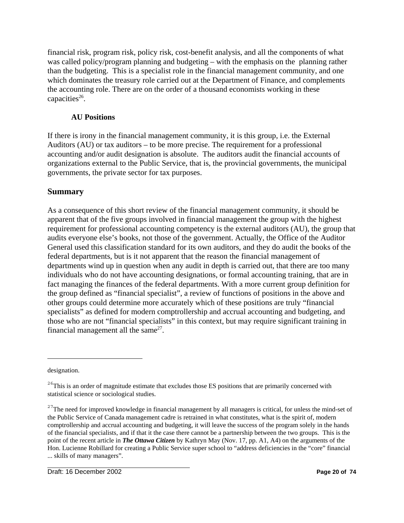financial risk, program risk, policy risk, cost-benefit analysis, and all the components of what was called policy/program planning and budgeting – with the emphasis on the planning rather than the budgeting. This is a specialist role in the financial management community, and one which dominates the treasury role carried out at the Department of Finance, and complements the accounting role. There are on the order of a thousand economists working in these capacities $26$ .

#### **AU Positions**

If there is irony in the financial management community, it is this group, i.e. the External Auditors (AU) or tax auditors – to be more precise. The requirement for a professional accounting and/or audit designation is absolute. The auditors audit the financial accounts of organizations external to the Public Service, that is, the provincial governments, the municipal governments, the private sector for tax purposes.

#### **Summary**

As a consequence of this short review of the financial management community, it should be apparent that of the five groups involved in financial management the group with the highest requirement for professional accounting competency is the external auditors (AU), the group that audits everyone else's books, not those of the government. Actually, the Office of the Auditor General used this classification standard for its own auditors, and they do audit the books of the federal departments, but is it not apparent that the reason the financial management of departments wind up in question when any audit in depth is carried out, that there are too many individuals who do not have accounting designations, or formal accounting training, that are in fact managing the finances of the federal departments. With a more current group definition for the group defined as "financial specialist", a review of functions of positions in the above and other groups could determine more accurately which of these positions are truly "financial specialists" as defined for modern comptrollership and accrual accounting and budgeting, and those who are not "financial specialists" in this context, but may require significant training in financial management all the same $^{27}$ .

designation.

<sup>&</sup>lt;sup>26</sup>This is an order of magnitude estimate that excludes those ES positions that are primarily concerned with statistical science or sociological studies.

 $^{27}$ The need for improved knowledge in financial management by all managers is critical, for unless the mind-set of the Public Service of Canada management cadre is retrained in what constitutes, what is the spirit of, modern comptrollership and accrual accounting and budgeting, it will leave the success of the program solely in the hands of the financial specialists, and if that it the case there cannot be a partnership between the two groups. This is the point of the recent article in *The Ottawa Citizen* by Kathryn May (Nov. 17, pp. A1, A4) on the arguments of the Hon. Lucienne Robillard for creating a Public Service super school to "address deficiencies in the "core" financial ... skills of many managers".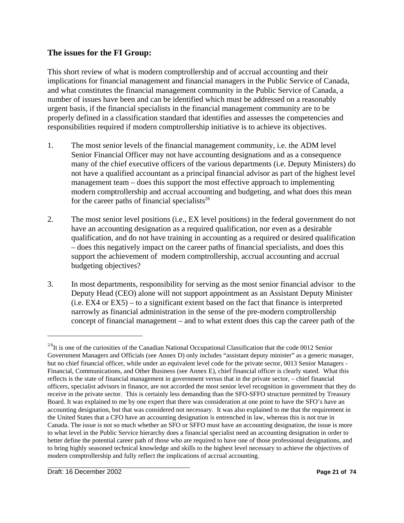#### **The issues for the FI Group:**

This short review of what is modern comptrollership and of accrual accounting and their implications for financial management and financial managers in the Public Service of Canada, and what constitutes the financial management community in the Public Service of Canada, a number of issues have been and can be identified which must be addressed on a reasonably urgent basis, if the financial specialists in the financial management community are to be properly defined in a classification standard that identifies and assesses the competencies and responsibilities required if modern comptrollership initiative is to achieve its objectives.

- 1. The most senior levels of the financial management community, i.e. the ADM level Senior Financial Officer may not have accounting designations and as a consequence many of the chief executive officers of the various departments (i.e. Deputy Ministers) do not have a qualified accountant as a principal financial advisor as part of the highest level management team – does this support the most effective approach to implementing modern comptrollership and accrual accounting and budgeting, and what does this mean for the career paths of financial specialists<sup>28</sup>
- 2. The most senior level positions (i.e., EX level positions) in the federal government do not have an accounting designation as a required qualification, nor even as a desirable qualification, and do not have training in accounting as a required or desired qualification – does this negatively impact on the career paths of financial specialists, and does this support the achievement of modern comptrollership, accrual accounting and accrual budgeting objectives?
- 3. In most departments, responsibility for serving as the most senior financial advisor to the Deputy Head (CEO) alone will not support appointment as an Assistant Deputy Minister (i.e. EX4 or EX5) – to a significant extent based on the fact that finance is interpreted narrowly as financial administration in the sense of the pre-modern comptrollership concept of financial management – and to what extent does this cap the career path of the

<sup>&</sup>lt;sup>28</sup>It is one of the curiosities of the Canadian National Occupational Classification that the code 0012 Senior Government Managers and Officials (see Annex D) only includes "assistant deputy minister" as a generic manager, but no chief financial officer, while under an equivalent level code for the private sector, 0013 Senior Managers - Financial, Communications, and Other Business (see Annex E), chief financial officer is clearly stated. What this reflects is the state of financial management in government versus that in the private sector, – chief financial officers, specialist advisors in finance, are not accorded the most senior level recognition in government that they do receive in the private sector. This is certainly less demanding than the SFO-SFFO structure permitted by Treasury Board. It was explained to me by one expert that there was consideration at one point to have the SFO's have an accounting designation, but that was considered not necessary. It was also explained to me that the requirement in the United States that a CFO have an accounting designation is entrenched in law, whereas this is not true in Canada. The issue is not so much whether an SFO or SFFO must have an accounting designation, the issue is more to what level in the Public Service hierarchy does a financial specialist need an accounting designation in order to better define the potential career path of those who are required to have one of those professional designations, and to bring highly seasoned technical knowledge and skills to the highest level necessary to achieve the objectives of modern comptrollership and fully reflect the implications of accrual accounting.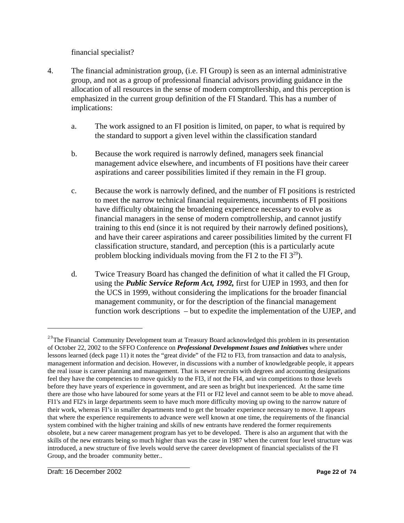financial specialist?

- 4. The financial administration group, (i.e. FI Group) is seen as an internal administrative group, and not as a group of professional financial advisors providing guidance in the allocation of all resources in the sense of modern comptrollership, and this perception is emphasized in the current group definition of the FI Standard. This has a number of implications:
	- a. The work assigned to an FI position is limited, on paper, to what is required by the standard to support a given level within the classification standard
	- b. Because the work required is narrowly defined, managers seek financial management advice elsewhere, and incumbents of FI positions have their career aspirations and career possibilities limited if they remain in the FI group.
	- c. Because the work is narrowly defined, and the number of FI positions is restricted to meet the narrow technical financial requirements, incumbents of FI positions have difficulty obtaining the broadening experience necessary to evolve as financial managers in the sense of modern comptrollership, and cannot justify training to this end (since it is not required by their narrowly defined positions), and have their career aspirations and career possibilities limited by the current FI classification structure, standard, and perception (this is a particularly acute problem blocking individuals moving from the FI 2 to the FI  $3^{29}$ ).
	- d. Twice Treasury Board has changed the definition of what it called the FI Group, using the *Public Service Reform Act, 1992,* first for UJEP in 1993, and then for the UCS in 1999, without considering the implications for the broader financial management community, or for the description of the financial management function work descriptions – but to expedite the implementation of the UJEP, and

<sup>&</sup>lt;sup>29</sup>The Financial Community Development team at Treasury Board acknowledged this problem in its presentation of October 22, 2002 to the SFFO Conference on *Professional Development Issues and Initiatives* where under lessons learned (deck page 11) it notes the "great divide" of the FI2 to FI3, from transaction and data to analysis, management information and decision. However, in discussions with a number of knowledgeable people, it appears the real issue is career planning and management. That is newer recruits with degrees and accounting designations feel they have the competencies to move quickly to the FI3, if not the FI4, and win competitions to those levels before they have years of experience in government, and are seen as bright but inexperienced. At the same time there are those who have laboured for some years at the FI1 or FI2 level and cannot seem to be able to move ahead. FI1's and FI2's in large departments seem to have much more difficulty moving up owing to the narrow nature of their work, whereas FI's in smaller departments tend to get the broader experience necessary to move. It appears that where the experience requirements to advance were well known at one time, the requirements of the financial system combined with the higher training and skills of new entrants have rendered the former requirements obsolete, but a new career management program has yet to be developed. There is also an argument that with the skills of the new entrants being so much higher than was the case in 1987 when the current four level structure was introduced, a new structure of five levels would serve the career development of financial specialists of the FI Group, and the broader community better..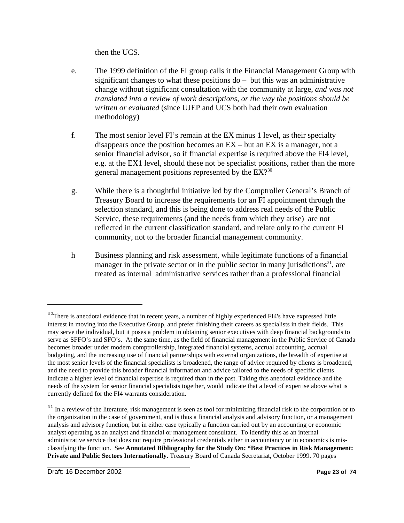then the UCS.

- e. The 1999 definition of the FI group calls it the Financial Management Group with significant changes to what these positions do – but this was an administrative change without significant consultation with the community at large, *and was not translated into a review of work descriptions, or the way the positions should be written or evaluated* (since UJEP and UCS both had their own evaluation methodology)
- f. The most senior level FI's remain at the EX minus 1 level, as their specialty disappears once the position becomes an  $EX - but$  an  $EX$  is a manager, not a senior financial advisor, so if financial expertise is required above the FI4 level, e.g. at the EX1 level, should these not be specialist positions, rather than the more general management positions represented by the EX?<sup>30</sup>
- g. While there is a thoughtful initiative led by the Comptroller General's Branch of Treasury Board to increase the requirements for an FI appointment through the selection standard, and this is being done to address real needs of the Public Service, these requirements (and the needs from which they arise) are not reflected in the current classification standard, and relate only to the current FI community, not to the broader financial management community.
- h Business planning and risk assessment, while legitimate functions of a financial manager in the private sector or in the public sector in many jurisdictions<sup>31</sup>, are treated as internal administrative services rather than a professional financial

<sup>&</sup>lt;sup>30</sup>There is anecdotal evidence that in recent years, a number of highly experienced FI4's have expressed little interest in moving into the Executive Group, and prefer finishing their careers as specialists in their fields. This may serve the individual, but it poses a problem in obtaining senior executives with deep financial backgrounds to serve as SFFO's and SFO's. At the same time, as the field of financial management in the Public Service of Canada becomes broader under modern comptrollership, integrated financial systems, accrual accounting, accrual budgeting, and the increasing use of financial partnerships with external organizations, the breadth of expertise at the most senior levels of the financial specialists is broadened, the range of advice required by clients is broadened, and the need to provide this broader financial information and advice tailored to the needs of specific clients indicate a higher level of financial expertise is required than in the past. Taking this anecdotal evidence and the needs of the system for senior financial specialists together, would indicate that a level of expertise above what is currently defined for the FI4 warrants consideration.

<sup>&</sup>lt;sup>31</sup> In a review of the literature, risk management is seen as tool for minimizing financial risk to the corporation or to the organization in the case of government, and is thus a financial analysis and advisory function, or a management analysis and advisory function, but in either case typically a function carried out by an accounting or economic analyst operating as an analyst and financial or management consultant. To identify this as an internal administrative service that does not require professional credentials either in accountancy or in economics is misclassifying the function. See **Annotated Bibliography for the Study On: "Best Practices in Risk Management: Private and Public Sectors Internationally.** Treasury Board of Canada Secretariat**,** October 1999. 70 pages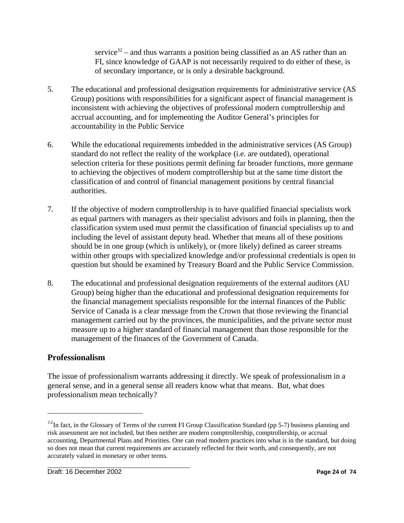service<sup>32</sup> – and thus warrants a position being classified as an AS rather than an FI, since knowledge of GAAP is not necessarily required to do either of these, is of secondary importance, or is only a desirable background.

- 5. The educational and professional designation requirements for administrative service (AS Group) positions with responsibilities for a significant aspect of financial management is inconsistent with achieving the objectives of professional modern comptrollership and accrual accounting, and for implementing the Auditor General's principles for accountability in the Public Service
- 6. While the educational requirements imbedded in the administrative services (AS Group) standard do not reflect the reality of the workplace (i.e. are outdated), operational selection criteria for these positions permit defining far broader functions, more germane to achieving the objectives of modern comptrollership but at the same time distort the classification of and control of financial management positions by central financial authorities.
- 7. If the objective of modern comptrollership is to have qualified financial specialists work as equal partners with managers as their specialist advisors and foils in planning, then the classification system used must permit the classification of financial specialists up to and including the level of assistant deputy head. Whether that means all of these positions should be in one group (which is unlikely), or (more likely) defined as career streams within other groups with specialized knowledge and/or professional credentials is open to question but should be examined by Treasury Board and the Public Service Commission.
- 8. The educational and professional designation requirements of the external auditors (AU Group) being higher than the educational and professional designation requirements for the financial management specialists responsible for the internal finances of the Public Service of Canada is a clear message from the Crown that those reviewing the financial management carried out by the provinces, the municipalities, and the private sector must measure up to a higher standard of financial management than those responsible for the management of the finances of the Government of Canada.

## **Professionalism**

The issue of professionalism warrants addressing it directly. We speak of professionalism in a general sense, and in a general sense all readers know what that means. But, what does professionalism mean technically?

 $32$ In fact, in the Glossary of Terms of the current FI Group Classification Standard (pp 5-7) business planning and risk assessment are not included, but then neither are modern comptrollership, comptrollership, or accrual accounting, Departmental Plans and Priorities. One can read modern practices into what is in the standard, but doing so does not mean that current requirements are accurately reflected for their worth, and consequently, are not accurately valued in monetary or other terms.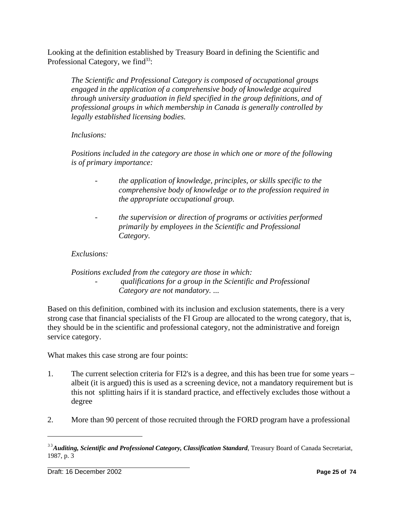Looking at the definition established by Treasury Board in defining the Scientific and Professional Category, we find<sup>33</sup>:

*The Scientific and Professional Category is composed of occupational groups engaged in the application of a comprehensive body of knowledge acquired through university graduation in field specified in the group definitions, and of professional groups in which membership in Canada is generally controlled by legally established licensing bodies.*

#### *Inclusions:*

*Positions included in the category are those in which one or more of the following is of primary importance:*

- *the application of knowledge, principles, or skills specific to the comprehensive body of knowledge or to the profession required in the appropriate occupational group.*
- *the supervision or direction of programs or activities performed primarily by employees in the Scientific and Professional Category.*

#### *Exclusions:*

#### *Positions excluded from the category are those in which: - qualifications for a group in the Scientific and Professional Category are not mandatory.* ...

Based on this definition, combined with its inclusion and exclusion statements, there is a very strong case that financial specialists of the FI Group are allocated to the wrong category, that is, they should be in the scientific and professional category, not the administrative and foreign service category.

What makes this case strong are four points:

- 1. The current selection criteria for FI2's is a degree, and this has been true for some years albeit (it is argued) this is used as a screening device, not a mandatory requirement but is this not splitting hairs if it is standard practice, and effectively excludes those without a degree
- 2. More than 90 percent of those recruited through the FORD program have a professional

<sup>&</sup>lt;sup>33</sup> Auditing, Scientific and Professional Category, Classification Standard, Treasury Board of Canada Secretariat, 1987, p. 3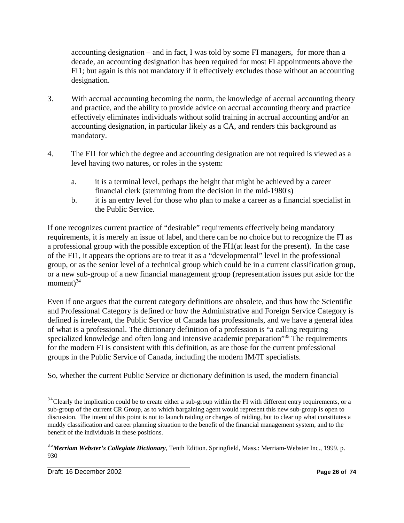accounting designation – and in fact, I was told by some FI managers, for more than a decade, an accounting designation has been required for most FI appointments above the FI1; but again is this not mandatory if it effectively excludes those without an accounting designation.

- 3. With accrual accounting becoming the norm, the knowledge of accrual accounting theory and practice, and the ability to provide advice on accrual accounting theory and practice effectively eliminates individuals without solid training in accrual accounting and/or an accounting designation, in particular likely as a CA, and renders this background as mandatory.
- 4. The FI1 for which the degree and accounting designation are not required is viewed as a level having two natures, or roles in the system:
	- a. it is a terminal level, perhaps the height that might be achieved by a career financial clerk (stemming from the decision in the mid-1980's)
	- b. it is an entry level for those who plan to make a career as a financial specialist in the Public Service.

If one recognizes current practice of "desirable" requirements effectively being mandatory requirements, it is merely an issue of label, and there can be no choice but to recognize the FI as a professional group with the possible exception of the FI1(at least for the present). In the case of the FI1, it appears the options are to treat it as a "developmental" level in the professional group, or as the senior level of a technical group which could be in a current classification group, or a new sub-group of a new financial management group (representation issues put aside for the moment $3^{34}$ 

Even if one argues that the current category definitions are obsolete, and thus how the Scientific and Professional Category is defined or how the Administrative and Foreign Service Category is defined is irrelevant, the Public Service of Canada has professionals, and we have a general idea of what is a professional. The dictionary definition of a profession is "a calling requiring specialized knowledge and often long and intensive academic preparation<sup>35</sup> The requirements for the modern FI is consistent with this definition, as are those for the current professional groups in the Public Service of Canada, including the modern IM/IT specialists.

So, whether the current Public Service or dictionary definition is used, the modern financial

 $34$ <sup>24</sup>Clearly the implication could be to create either a sub-group within the FI with different entry requirements, or a sub-group of the current CR Group, as to which bargaining agent would represent this new sub-group is open to discussion. The intent of this point is not to launch raiding or charges of raiding, but to clear up what constitutes a muddy classification and career planning situation to the benefit of the financial management system, and to the benefit of the individuals in these positions.

<sup>35</sup>*Merriam Webster's Collegiate Dictionary*, Tenth Edition. Springfield, Mass.: Merriam-Webster Inc., 1999. p. 930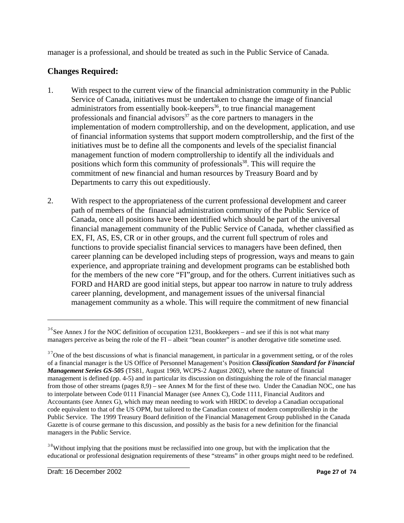manager is a professional, and should be treated as such in the Public Service of Canada.

## **Changes Required:**

- 1. With respect to the current view of the financial administration community in the Public Service of Canada, initiatives must be undertaken to change the image of financial administrators from essentially book-keepers<sup>36</sup>, to true financial management professionals and financial advisors<sup>37</sup> as the core partners to managers in the implementation of modern comptrollership, and on the development, application, and use of financial information systems that support modern comptrollership, and the first of the initiatives must be to define all the components and levels of the specialist financial management function of modern comptrollership to identify all the individuals and positions which form this community of professionals<sup>38</sup>. This will require the commitment of new financial and human resources by Treasury Board and by Departments to carry this out expeditiously.
- 2. With respect to the appropriateness of the current professional development and career path of members of the financial administration community of the Public Service of Canada, once all positions have been identified which should be part of the universal financial management community of the Public Service of Canada, whether classified as EX, FI, AS, ES, CR or in other groups, and the current full spectrum of roles and functions to provide specialist financial services to managers have been defined, then career planning can be developed including steps of progression, ways and means to gain experience, and appropriate training and development programs can be established both for the members of the new core "FI"group, and for the others. Current initiatives such as FORD and HARD are good initial steps, but appear too narrow in nature to truly address career planning, development, and management issues of the universal financial management community as a whole. This will require the commitment of new financial

 $36$ See Annex J for the NOC definition of occupation 1231, Bookkeepers – and see if this is not what many managers perceive as being the role of the FI – albeit "bean counter" is another derogative title sometime used.

<sup>&</sup>lt;sup>37</sup>One of the best discussions of what is financial management, in particular in a government setting, or of the roles of a financial manager is the US Office of Personnel Management's Position *Classification Standard for Financial Management Series GS-505* (TS81, August 1969, WCPS-2 August 2002), where the nature of financial management is defined (pp. 4-5) and in particular its discussion on distinguishing the role of the financial manager from those of other streams (pages 8,9) – see Annex M for the first of these two. Under the Canadian NOC, one has to interpolate between Code 0111 Financial Manager (see Annex C), Code 1111, Financial Auditors and Accountants (see Annex G), which may mean needing to work with HRDC to develop a Canadian occupational code equivalent to that of the US OPM, but tailored to the Canadian context of modern comptrollership in the Public Service. The 1999 Treasury Board definition of the Financial Management Group published in the Canada Gazette is of course germane to this discussion, and possibly as the basis for a new definition for the financial managers in the Public Service.

<sup>&</sup>lt;sup>38</sup>Without implying that the positions must be reclassified into one group, but with the implication that the educational or professional designation requirements of these "streams" in other groups might need to be redefined.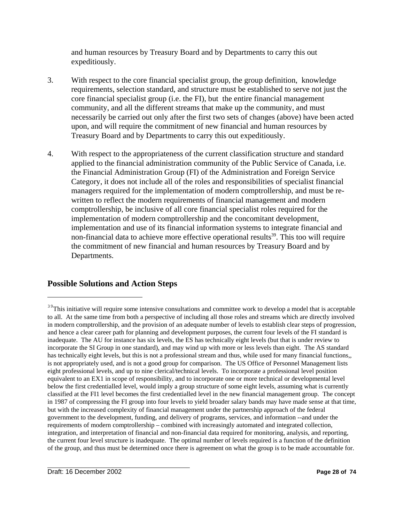and human resources by Treasury Board and by Departments to carry this out expeditiously.

- 3. With respect to the core financial specialist group, the group definition, knowledge requirements, selection standard, and structure must be established to serve not just the core financial specialist group (i.e. the FI), but the entire financial management community, and all the different streams that make up the community, and must necessarily be carried out only after the first two sets of changes (above) have been acted upon, and will require the commitment of new financial and human resources by Treasury Board and by Departments to carry this out expeditiously.
- 4. With respect to the appropriateness of the current classification structure and standard applied to the financial administration community of the Public Service of Canada, i.e. the Financial Administration Group (FI) of the Administration and Foreign Service Category, it does not include all of the roles and responsibilities of specialist financial managers required for the implementation of modern comptrollership, and must be rewritten to reflect the modern requirements of financial management and modern comptrollership, be inclusive of all core financial specialist roles required for the implementation of modern comptrollership and the concomitant development, implementation and use of its financial information systems to integrate financial and non-financial data to achieve more effective operational results<sup>39</sup>. This too will require the commitment of new financial and human resources by Treasury Board and by Departments.

#### **Possible Solutions and Action Steps**

<sup>&</sup>lt;sup>39</sup>This initiative will require some intensive consultations and committee work to develop a model that is acceptable to all. At the same time from both a perspective of including all those roles and streams which are directly involved in modern comptrollership, and the provision of an adequate number of levels to establish clear steps of progression, and hence a clear career path for planning and development purposes, the current four levels of the FI standard is inadequate. The AU for instance has six levels, the ES has technically eight levels (but that is under review to incorporate the SI Group in one standard), and may wind up with more or less levels than eight. The AS standard has technically eight levels, but this is not a professional stream and thus, while used for many financial functions,, is not appropriately used, and is not a good group for comparison. The US Office of Personnel Management lists eight professional levels, and up to nine clerical/technical levels. To incorporate a professional level position equivalent to an EX1 in scope of responsibility, and to incorporate one or more technical or developmental level below the first credentialled level, would imply a group structure of some eight levels, assuming what is currently classified at the FI1 level becomes the first credentialled level in the new financial management group. The concept in 1987 of compressing the FI group into four levels to yield broader salary bands may have made sense at that time, but with the increased complexity of financial management under the partnership approach of the federal government to the development, funding, and delivery of programs, services, and information --and under the requirements of modern comptrollership – combined with increasingly automated and integrated collection, integration, and interpretation of financial and non-financial data required for monitoring, analysis, and reporting, the current four level structure is inadequate. The optimal number of levels required is a function of the definition of the group, and thus must be determined once there is agreement on what the group is to be made accountable for.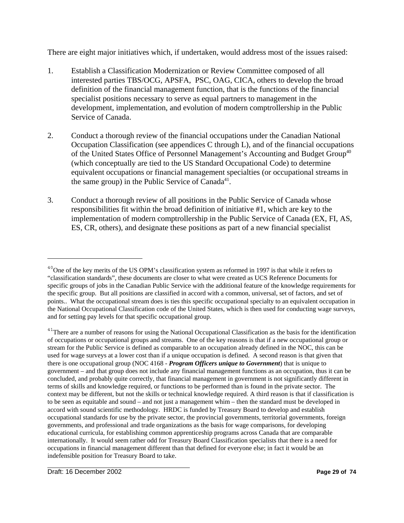There are eight major initiatives which, if undertaken, would address most of the issues raised:

- 1. Establish a Classification Modernization or Review Committee composed of all interested parties TBS/OCG, APSFA, PSC, OAG, CICA, others to develop the broad definition of the financial management function, that is the functions of the financial specialist positions necessary to serve as equal partners to management in the development, implementation, and evolution of modern comptrollership in the Public Service of Canada.
- 2. Conduct a thorough review of the financial occupations under the Canadian National Occupation Classification (see appendices C through L), and of the financial occupations of the United States Office of Personnel Management's Accounting and Budget Group<sup>40</sup> (which conceptually are tied to the US Standard Occupational Code) to determine equivalent occupations or financial management specialties (or occupational streams in the same group) in the Public Service of Canada<sup>41</sup>.
- 3. Conduct a thorough review of all positions in the Public Service of Canada whose responsibilities fit within the broad definition of initiative #1, which are key to the implementation of modern comptrollership in the Public Service of Canada (EX, FI, AS, ES, CR, others), and designate these positions as part of a new financial specialist

 $40^{\circ}$ One of the key merits of the US OPM's classification system as reformed in 1997 is that while it refers to "classification standards", these documents are closer to what were created as UCS Reference Documents for specific groups of jobs in the Canadian Public Service with the additional feature of the knowledge requirements for the specific group. But all positions are classified in accord with a common, universal, set of factors, and set of points.. What the occupational stream does is ties this specific occupational specialty to an equivalent occupation in the National Occupational Classification code of the United States, which is then used for conducting wage surveys, and for setting pay levels for that specific occupational group.

 $41$ There are a number of reasons for using the National Occupational Classification as the basis for the identification of occupations or occupational groups and streams. One of the key reasons is that if a new occupational group or stream for the Public Service is defined as comparable to an occupation already defined in the NOC, this can be used for wage surveys at a lower cost than if a unique occupation is defined. A second reason is that given that there is one occupational group (NOC 4168 - *Program Officers unique to Government*) that is unique to government – and that group does not include any financial management functions as an occupation, thus it can be concluded, and probably quite correctly, that financial management in government is not significantly different in terms of skills and knowledge required, or functions to be performed than is found in the private sector. The context may be different, but not the skills or technical knowledge required. A third reason is that if classification is to be seen as equitable and sound – and not just a management whim – then the standard must be developed in accord with sound scientific methodology. HRDC is funded by Treasury Board to develop and establish occupational standards for use by the private sector, the provincial governments, territorial governments, foreign governments, and professional and trade organizations as the basis for wage comparisons, for developing educational curricula, for establishing common apprenticeship programs across Canada that are comparable internationally. It would seem rather odd for Treasury Board Classification specialists that there is a need for occupations in financial management different than that defined for everyone else; in fact it would be an indefensible position for Treasury Board to take.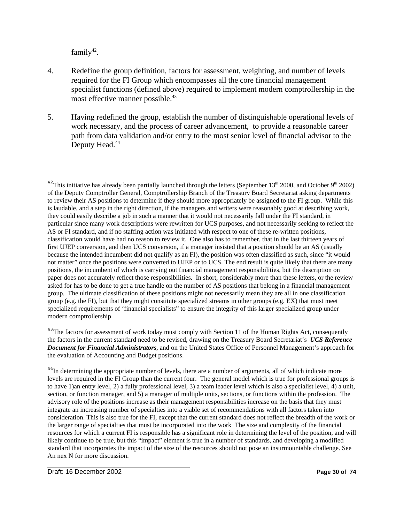family $42$ .

- 4. Redefine the group definition, factors for assessment, weighting, and number of levels required for the FI Group which encompasses all the core financial management specialist functions (defined above) required to implement modern comptrollership in the most effective manner possible.<sup>43</sup>
- 5. Having redefined the group, establish the number of distinguishable operational levels of work necessary, and the process of career advancement, to provide a reasonable career path from data validation and/or entry to the most senior level of financial advisor to the Deputy Head.<sup>44</sup>

<sup>&</sup>lt;sup>42</sup>This initiative has already been partially launched through the letters (September  $13<sup>th</sup>$  2000, and October 9<sup>th</sup> 2002) of the Deputy Comptroller General, Comptrollership Branch of the Treasury Board Secretariat asking departments to review their AS positions to determine if they should more appropriately be assigned to the FI group. While this is laudable, and a step in the right direction, if the managers and writers were reasonably good at describing work, they could easily describe a job in such a manner that it would not necessarily fall under the FI standard, in particular since many work descriptions were rewritten for UCS purposes, and not necessarily seeking to reflect the AS or FI standard, and if no staffing action was initiated with respect to one of these re-written positions, classification would have had no reason to review it. One also has to remember, that in the last thirteen years of first UJEP conversion, and then UCS conversion, if a manager insisted that a position should be an AS (usually because the intended incumbent did not qualify as an FI), the position was often classified as such, since "it would not matter" once the positions were converted to UJEP or to UCS. The end result is quite likely that there are many positions, the incumbent of which is carrying out financial management responsibilities, but the description on paper does not accurately reflect those responsibilities. In short, considerably more than these letters, or the review asked for has to be done to get a true handle on the number of AS positions that belong in a financial management group. The ultimate classification of these positions might not necessarily mean they are all in one classification group (e.g. the FI), but that they might constitute specialized streams in other groups (e.g. EX) that must meet specialized requirements of 'financial specialists" to ensure the integrity of this larger specialized group under modern comptrollership

<sup>&</sup>lt;sup>43</sup>The factors for assessment of work today must comply with Section 11 of the Human Rights Act, consequently the factors in the current standard need to be revised, drawing on the Treasury Board Secretariat's *UCS Reference Document for Financial Administrators*, and on the United States Office of Personnel Management's approach for the evaluation of Accounting and Budget positions.

<sup>&</sup>lt;sup>44</sup>In determining the appropriate number of levels, there are a number of arguments, all of which indicate more levels are required in the FI Group than the current four. The general model which is true for professional groups is to have 1)an entry level, 2) a fully professional level, 3) a team leader level which is also a specialist level, 4) a unit, section, or function manager, and 5) a manager of multiple units, sections, or functions within the profession. The advisory role of the positions increase as their management responsibilities increase on the basis that they must integrate an increasing number of specialties into a viable set of recommendations with all factors taken into consideration. This is also true for the FI, except that the current standard does not reflect the breadth of the work or the larger range of specialties that must be incorporated into the work The size and complexity of the financial resources for which a current FI is responsible has a significant role in determining the level of the position, and will likely continue to be true, but this "impact" element is true in a number of standards, and developing a modified standard that incorporates the impact of the size of the resources should not pose an insurmountable challenge. See An nex N for more discussion.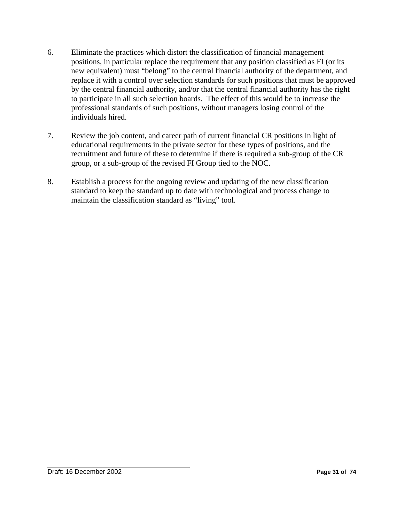- 6. Eliminate the practices which distort the classification of financial management positions, in particular replace the requirement that any position classified as FI (or its new equivalent) must "belong" to the central financial authority of the department, and replace it with a control over selection standards for such positions that must be approved by the central financial authority, and/or that the central financial authority has the right to participate in all such selection boards. The effect of this would be to increase the professional standards of such positions, without managers losing control of the individuals hired.
- 7. Review the job content, and career path of current financial CR positions in light of educational requirements in the private sector for these types of positions, and the recruitment and future of these to determine if there is required a sub-group of the CR group, or a sub-group of the revised FI Group tied to the NOC.
- 8. Establish a process for the ongoing review and updating of the new classification standard to keep the standard up to date with technological and process change to maintain the classification standard as "living" tool.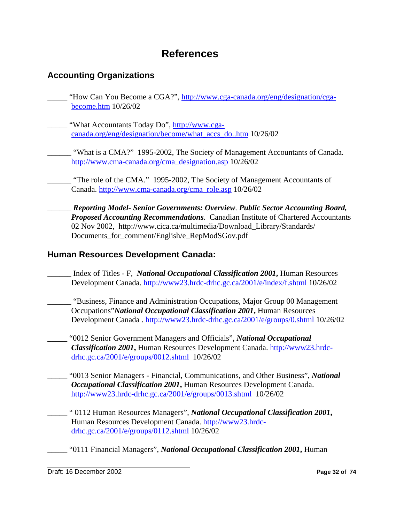## **References**

## **Accounting Organizations**

- "How Can You Become a CGA?", http://www.cga-canada.org/eng/designation/cgabecome.htm 10/26/02
- "What Accountants Today Do", http://www.cgacanada.org/eng/designation/become/what\_accs\_do..htm 10/26/02
	- "What is a CMA?" 1995-2002, The Society of Management Accountants of Canada. http://www.cma-canada.org/cma\_designation.asp 10/26/02
	- "The role of the CMA." 1995-2002, The Society of Management Accountants of Canada. http://www.cma-canada.org/cma\_role.asp 10/26/02
		- \_\_\_\_\_\_ *Reporting Model- Senior Governments: Overview*. *Public Sector Accounting Board, Proposed Accounting Recommendations*. Canadian Institute of Chartered Accountants 02 Nov 2002, http://www.cica.ca/multimedia/Download\_Library/Standards/ Documents\_for\_comment/English/e\_RepModSGov.pdf

### **Human Resources Development Canada:**

- \_\_\_\_\_\_ Index of Titles F, *National Occupational Classification 2001***,** Human Resources Development Canada. http://www23.hrdc-drhc.gc.ca/2001/e/index/f.shtml 10/26/02
- \_\_\_\_\_\_ "Business, Finance and Administration Occupations, Major Group 00 Management Occupations"*National Occupational Classification 2001***,** Human Resources Development Canada . http://www23.hrdc-drhc.gc.ca/2001/e/groups/0.shtml 10/26/02
- \_\_\_\_\_ "0012 Senior Government Managers and Officials", *National Occupational Classification 2001***,** Human Resources Development Canada. http://www23.hrdcdrhc.gc.ca/2001/e/groups/0012.shtml 10/26/02
- \_\_\_\_\_ "0013 Senior Managers Financial, Communications, and Other Business", *National Occupational Classification 2001***,** Human Resources Development Canada. http://www23.hrdc-drhc.gc.ca/2001/e/groups/0013.shtml 10/26/02
- \_\_\_\_\_ " 0112 Human Resources Managers", *National Occupational Classification 2001***,** Human Resources Development Canada. http://www23.hrdcdrhc.gc.ca/2001/e/groups/0112.shtml 10/26/02
- \_\_\_\_\_ "0111 Financial Managers", *National Occupational Classification 2001***,** Human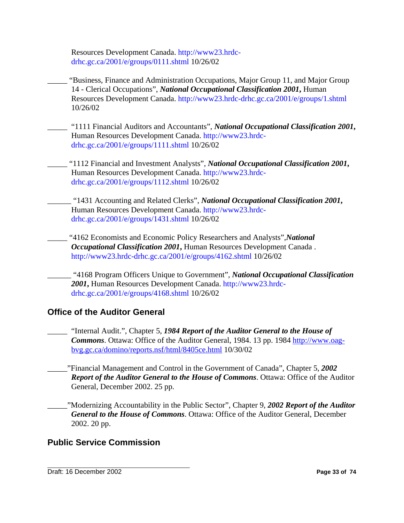Resources Development Canada. http://www23.hrdcdrhc.gc.ca/2001/e/groups/0111.shtml 10/26/02

- \_\_\_\_\_ "Business, Finance and Administration Occupations, Major Group 11, and Major Group 14 - Clerical Occupations", *National Occupational Classification 2001***,** Human Resources Development Canada. http://www23.hrdc-drhc.gc.ca/2001/e/groups/1.shtml 10/26/02
- \_\_\_\_\_ "1111 Financial Auditors and Accountants", *National Occupational Classification 2001***,** Human Resources Development Canada. http://www23.hrdcdrhc.gc.ca/2001/e/groups/1111.shtml 10/26/02
- \_\_\_\_\_ "1112 Financial and Investment Analysts", *National Occupational Classification 2001***,** Human Resources Development Canada. http://www23.hrdcdrhc.gc.ca/2001/e/groups/1112.shtml 10/26/02
	- \_\_\_\_\_\_ "1431 Accounting and Related Clerks", *National Occupational Classification 2001***,** Human Resources Development Canada. http://www23.hrdcdrhc.gc.ca/2001/e/groups/1431.shtml 10/26/02
	- \_\_\_\_\_ "4162 Economists and Economic Policy Researchers and Analysts",*National Occupational Classification 2001***,** Human Resources Development Canada . http://www23.hrdc-drhc.gc.ca/2001/e/groups/4162.shtml 10/26/02
		- \_\_\_\_\_\_ "4168 Program Officers Unique to Government", *National Occupational Classification 2001***,** Human Resources Development Canada. http://www23.hrdcdrhc.gc.ca/2001/e/groups/4168.shtml 10/26/02

## **Office of the Auditor General**

- \_\_\_\_\_ "Internal Audit.", Chapter 5, *1984 Report of the Auditor General to the House of Commons*. Ottawa: Office of the Auditor General, 1984. 13 pp. 1984 http://www.oagbvg.gc.ca/domino/reports.nsf/html/8405ce.html 10/30/02
- \_\_\_\_\_"Financial Management and Control in the Government of Canada", Chapter 5, *2002 Report of the Auditor General to the House of Commons*. Ottawa: Office of the Auditor General, December 2002. 25 pp.
- \_\_\_\_\_"Modernizing Accountability in the Public Sector", Chapter 9, *2002 Report of the Auditor General to the House of Commons*. Ottawa: Office of the Auditor General, December 2002. 20 pp.

## **Public Service Commission**

Draft: 16 December 2002 **Page 33 of 74**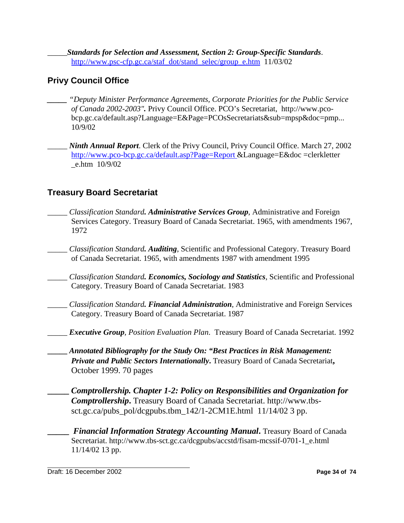\_\_\_\_\_*Standards for Selection and Assessment, Section 2: Group-Specific Standards*. http://www.psc-cfp.gc.ca/staf\_dot/stand\_selec/group\_e.htm 11/03/02

## **Privy Council Office**

- *\_\_\_\_\_ "Deputy Minister Performance Agreements, Corporate Priorities for the Public Service of Canada 2002-2003".* Privy Council Office. PCO's Secretariat, http://www.pcobcp.gc.ca/default.asp?Language=E&Page=PCOsSecretariats&sub=mpsp&doc=pmp... 10/9/02
- \_\_\_\_\_ *Ninth Annual Report*. Clerk of the Privy Council, Privy Council Office. March 27, 2002 http://www.pco-bcp.gc.ca/default.asp?Page=Report &Language=E&doc =clerkletter \_e.htm 10/9/02

## **Treasury Board Secretariat**

- \_\_\_\_\_ *Classification Standard. Administrative Services Group*, Administrative and Foreign Services Category. Treasury Board of Canada Secretariat. 1965, with amendments 1967, 1972
- \_\_\_\_\_ *Classification Standard. Auditing*, Scientific and Professional Category. Treasury Board of Canada Secretariat. 1965, with amendments 1987 with amendment 1995
- \_\_\_\_\_ *Classification Standard. Economics, Sociology and Statistics*, Scientific and Professional Category. Treasury Board of Canada Secretariat. 1983
- \_\_\_\_\_ *Classification Standard. Financial Administration*, Administrative and Foreign Services Category. Treasury Board of Canada Secretariat. 1987
- \_\_\_\_\_ *Executive Group, Position Evaluation Plan*. Treasury Board of Canada Secretariat. 1992
- **\_\_\_\_\_** *Annotated Bibliography for the Study On: "Best Practices in Risk Management: Private and Public Sectors Internationally***.** Treasury Board of Canada Secretariat**,** October 1999. 70 pages
- **\_\_\_\_\_** *Comptrollership. Chapter 1-2: Policy on Responsibilities and Organization for Comptrollership***.** Treasury Board of Canada Secretariat. http://www.tbssct.gc.ca/pubs\_pol/dcgpubs.tbm\_142/1-2CM1E.html  $11/14/02$  3 pp.
	- *Financial Information Strategy Accounting Manual***. Treasury Board of Canada** Secretariat. http://www.tbs-sct.gc.ca/dcgpubs/accstd/fisam-mcssif-0701-1\_e.html 11/14/02 13 pp.

Draft: 16 December 2002 **Page 34 of 74**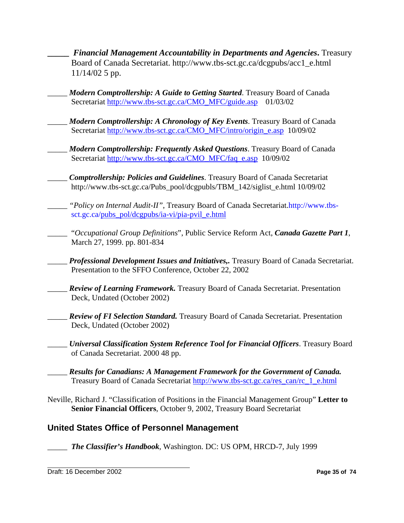**\_\_\_\_\_** *Financial Management Accountability in Departments and Agencies***.** Treasury Board of Canada Secretariat. http://www.tbs-sct.gc.ca/dcgpubs/acc1\_e.html 11/14/02 5 pp.

\_\_\_\_\_ *Modern Comptrollership: A Guide to Getting Started*. Treasury Board of Canada Secretariat http://www.tbs-sct.gc.ca/CMO\_MFC/guide.asp 01/03/02

- \_\_\_\_\_ *Modern Comptrollership: A Chronology of Key Events*. Treasury Board of Canada Secretariat http://www.tbs-sct.gc.ca/CMO\_MFC/intro/origin\_e.asp 10/09/02
	- \_\_\_\_\_ *Modern Comptrollership: Frequently Asked Questions*. Treasury Board of Canada Secretariat http://www.tbs-sct.gc.ca/CMO\_MFC/faq\_e.asp 10/09/02
- \_\_\_\_\_ *Comptrollership: Policies and Guidelines*. Treasury Board of Canada Secretariat http://www.tbs-sct.gc.ca/Pubs\_pool/dcgpubls/TBM\_142/siglist\_e.html 10/09/02

"Policy on Internal Audit-II", Treasury Board of Canada Secretariat.http://www.tbssct.gc.ca/pubs\_pol/dcgpubs/ia-vi/pia-pvil\_e.html

\_\_\_\_\_ "*Occupational Group Definitions*", Public Service Reform Act, *Canada Gazette Part 1*, March 27, 1999. pp. 801-834

\_\_\_\_\_ *Professional Development Issues and Initiatives,.* Treasury Board of Canada Secretariat. Presentation to the SFFO Conference, October 22, 2002

- \_\_\_\_\_ *Review of Learning Framework.* Treasury Board of Canada Secretariat. Presentation Deck, Undated (October 2002)
- \_\_\_\_\_ *Review of FI Selection Standard.* Treasury Board of Canada Secretariat. Presentation Deck, Undated (October 2002)

\_\_\_\_\_ *Universal Classification System Reference Tool for Financial Officers*. Treasury Board of Canada Secretariat. 2000 48 pp.

\_\_\_\_\_ *Results for Canadians: A Management Framework for the Government of Canada.* Treasury Board of Canada Secretariat http://www.tbs-sct.gc.ca/res\_can/rc\_1\_e.html

Neville, Richard J. "Classification of Positions in the Financial Management Group" **Letter to Senior Financial Officers**, October 9, 2002, Treasury Board Secretariat

## **United States Office of Personnel Management**

\_\_\_\_\_ *The Classifier's Handbook*, Washington. DC: US OPM, HRCD-7, July 1999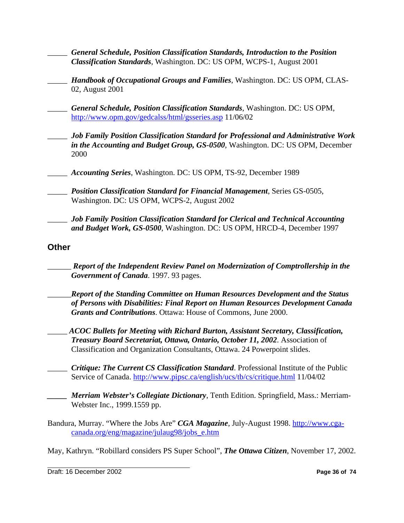- \_\_\_\_\_ *General Schedule, Position Classification Standards, Introduction to the Position Classification Standards*, Washington. DC: US OPM, WCPS-1, August 2001
	- \_\_\_\_\_ *Handbook of Occupational Groups and Families*, Washington. DC: US OPM, CLAS-02, August 2001
- \_\_\_\_\_ *General Schedule, Position Classification Standards*, Washington. DC: US OPM, http://www.opm.gov/gedcalss/html/gsseries.asp 11/06/02
- \_\_\_\_\_ *Job Family Position Classification Standard for Professional and Administrative Work in the Accounting and Budget Group, GS-0500*, Washington. DC: US OPM, December 2000
- \_\_\_\_\_ *Accounting Series*, Washington. DC: US OPM, TS-92, December 1989
- \_\_\_\_\_ *Position Classification Standard for Financial Management*, Series GS-0505, Washington. DC: US OPM, WCPS-2, August 2002
- \_\_\_\_\_ *Job Family Position Classification Standard for Clerical and Technical Accounting and Budget Work, GS-0500*, Washington. DC: US OPM, HRCD-4, December 1997

# **Other**

- \_\_\_\_\_\_ *Report of the Independent Review Panel on Modernization of Comptrollership in the Government of Canada*. 1997. 93 pages.
- \_\_\_\_\_\_*Report of the Standing Committee on Human Resources Development and the Status of Persons with Disabilities: Final Report on Human Resources Development Canada Grants and Contributions*. Ottawa: House of Commons, June 2000.
	- \_\_\_\_\_ *ACOC Bullets for Meeting with Richard Burton, Assistant Secretary, Classification, Treasury Board Secretariat, Ottawa, Ontario, October 11, 2002*. Association of Classification and Organization Consultants, Ottawa. 24 Powerpoint slides.
- \_\_\_\_\_ *Critique: The Current CS Classification Standard*. Professional Institute of the Public Service of Canada. http://www.pipsc.ca/english/ucs/tb/cs/critique.html 11/04/02
- *Merriam Webster's Collegiate Dictionary*, Tenth Edition. Springfield, Mass.: Merriam-Webster Inc., 1999.1559 pp.
- Bandura, Murray. "Where the Jobs Are" CGA Magazine, July-August 1998. http://www.cgacanada.org/eng/magazine/julaug98/jobs\_e.htm

May, Kathryn. "Robillard considers PS Super School", *The Ottawa Citizen*, November 17, 2002.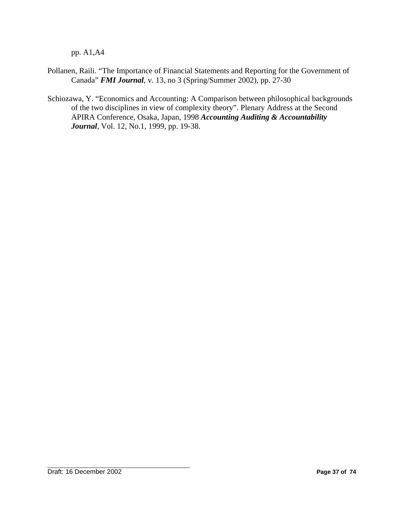pp. A1,A4

- Pollanen, Raili. "The Importance of Financial Statements and Reporting for the Government of Canada" *FMI Journal*, v. 13, no 3 (Spring/Summer 2002), pp. 27-30
- Schiozawa, Y. "Economics and Accounting: A Comparison between philosophical backgrounds of the two disciplines in view of complexity theory". Plenary Address at the Second APIRA Conference, Osaka, Japan, 1998 *Accounting Auditing & Accountability Journal*, Vol. 12, No.1, 1999, pp. 19-38.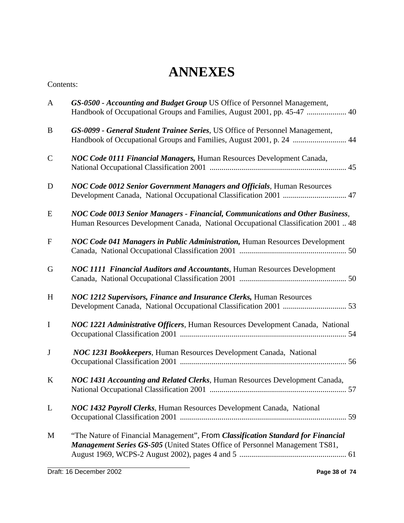# **ANNEXES**

## Contents:

| $\mathbf{A}$ | GS-0500 - Accounting and Budget Group US Office of Personnel Management,<br>Handbook of Occupational Groups and Families, August 2001, pp. 45-47  40                    |
|--------------|-------------------------------------------------------------------------------------------------------------------------------------------------------------------------|
| B            | GS-0099 - General Student Trainee Series, US Office of Personnel Management,                                                                                            |
| $\mathbf C$  | NOC Code 0111 Financial Managers, Human Resources Development Canada,                                                                                                   |
| D            | <b>NOC Code 0012 Senior Government Managers and Officials, Human Resources</b><br>Development Canada, National Occupational Classification 2001  47                     |
| E            | NOC Code 0013 Senior Managers - Financial, Communications and Other Business,<br>Human Resources Development Canada, National Occupational Classification 2001  48      |
| $\mathbf{F}$ | NOC Code 041 Managers in Public Administration, Human Resources Development                                                                                             |
| G            | NOC 1111 Financial Auditors and Accountants, Human Resources Development                                                                                                |
| H            | <b>NOC 1212 Supervisors, Finance and Insurance Clerks, Human Resources</b>                                                                                              |
| $\mathbf I$  | NOC 1221 Administrative Officers, Human Resources Development Canada, National                                                                                          |
| $\bf J$      | NOC 1231 Bookkeepers, Human Resources Development Canada, National                                                                                                      |
| $\bf K$      | NOC 1431 Accounting and Related Clerks, Human Resources Development Canada,                                                                                             |
| L            | NOC 1432 Payroll Clerks, Human Resources Development Canada, National                                                                                                   |
| M            | "The Nature of Financial Management", From Classification Standard for Financial<br><b>Management Series GS-505</b> (United States Office of Personnel Management TS81, |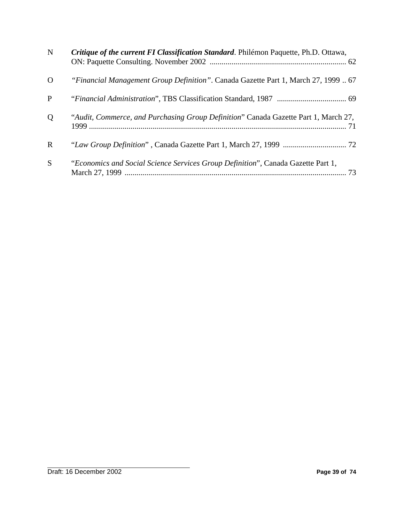| ${\bf N}$   | Critique of the current FI Classification Standard. Philémon Paquette, Ph.D. Ottawa, |
|-------------|--------------------------------------------------------------------------------------|
| $\Omega$    | "Financial Management Group Definition". Canada Gazette Part 1, March 27, 1999  67   |
| P           |                                                                                      |
| Q           | "Audit, Commerce, and Purchasing Group Definition" Canada Gazette Part 1, March 27,  |
| $\mathbf R$ |                                                                                      |
| S           | "Economics and Social Science Services Group Definition", Canada Gazette Part 1,     |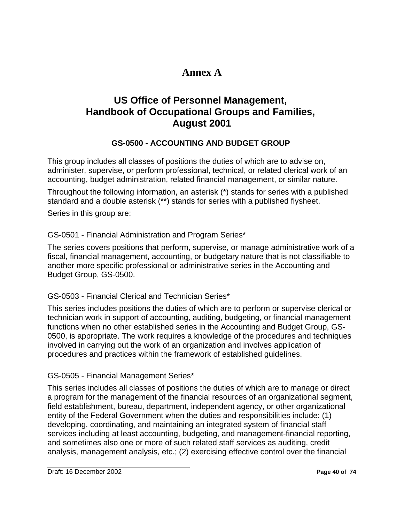# **Annex A**

# **US Office of Personnel Management, Handbook of Occupational Groups and Families, August 2001**

# **GS-0500 - ACCOUNTING AND BUDGET GROUP**

This group includes all classes of positions the duties of which are to advise on, administer, supervise, or perform professional, technical, or related clerical work of an accounting, budget administration, related financial management, or similar nature.

Throughout the following information, an asterisk (\*) stands for series with a published standard and a double asterisk (\*\*) stands for series with a published flysheet.

Series in this group are:

# GS-0501 - Financial Administration and Program Series\*

The series covers positions that perform, supervise, or manage administrative work of a fiscal, financial management, accounting, or budgetary nature that is not classifiable to another more specific professional or administrative series in the Accounting and Budget Group, GS-0500.

# GS-0503 - Financial Clerical and Technician Series\*

This series includes positions the duties of which are to perform or supervise clerical or technician work in support of accounting, auditing, budgeting, or financial management functions when no other established series in the Accounting and Budget Group, GS-0500, is appropriate. The work requires a knowledge of the procedures and techniques involved in carrying out the work of an organization and involves application of procedures and practices within the framework of established guidelines.

# GS-0505 - Financial Management Series\*

This series includes all classes of positions the duties of which are to manage or direct a program for the management of the financial resources of an organizational segment, field establishment, bureau, department, independent agency, or other organizational entity of the Federal Government when the duties and responsibilities include: (1) developing, coordinating, and maintaining an integrated system of financial staff services including at least accounting, budgeting, and management-financial reporting, and sometimes also one or more of such related staff services as auditing, credit analysis, management analysis, etc.; (2) exercising effective control over the financial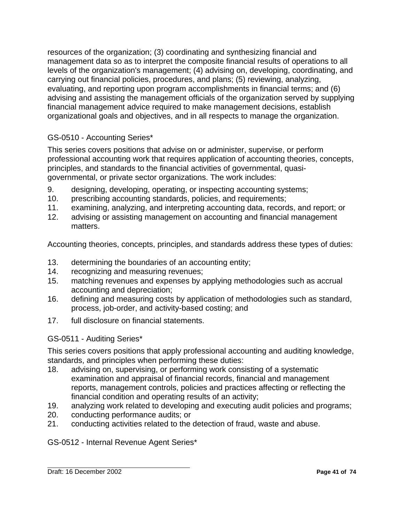resources of the organization; (3) coordinating and synthesizing financial and management data so as to interpret the composite financial results of operations to all levels of the organization's management; (4) advising on, developing, coordinating, and carrying out financial policies, procedures, and plans; (5) reviewing, analyzing, evaluating, and reporting upon program accomplishments in financial terms; and (6) advising and assisting the management officials of the organization served by supplying financial management advice required to make management decisions, establish organizational goals and objectives, and in all respects to manage the organization.

# GS-0510 - Accounting Series\*

This series covers positions that advise on or administer, supervise, or perform professional accounting work that requires application of accounting theories, concepts, principles, and standards to the financial activities of governmental, quasigovernmental, or private sector organizations. The work includes:

- 9. designing, developing, operating, or inspecting accounting systems;
- 10. prescribing accounting standards, policies, and requirements;
- 11. examining, analyzing, and interpreting accounting data, records, and report; or
- 12. advising or assisting management on accounting and financial management matters.

Accounting theories, concepts, principles, and standards address these types of duties:

- 13. determining the boundaries of an accounting entity;
- 14. recognizing and measuring revenues;
- 15. matching revenues and expenses by applying methodologies such as accrual accounting and depreciation;
- 16. defining and measuring costs by application of methodologies such as standard, process, job-order, and activity-based costing; and
- 17. full disclosure on financial statements.

## GS-0511 - Auditing Series\*

This series covers positions that apply professional accounting and auditing knowledge, standards, and principles when performing these duties:

- 18. advising on, supervising, or performing work consisting of a systematic examination and appraisal of financial records, financial and management reports, management controls, policies and practices affecting or reflecting the financial condition and operating results of an activity;
- 19. analyzing work related to developing and executing audit policies and programs;
- 20. conducting performance audits; or
- 21. conducting activities related to the detection of fraud, waste and abuse.

## GS-0512 - Internal Revenue Agent Series\*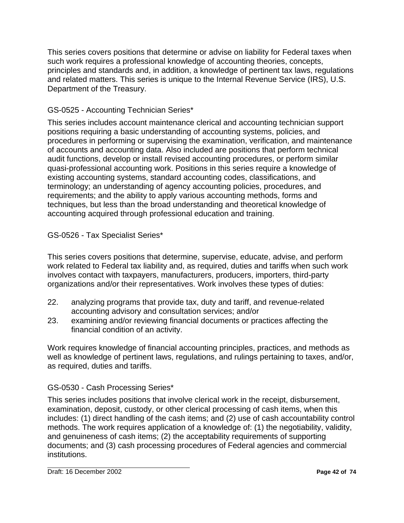This series covers positions that determine or advise on liability for Federal taxes when such work requires a professional knowledge of accounting theories, concepts, principles and standards and, in addition, a knowledge of pertinent tax laws, regulations and related matters. This series is unique to the Internal Revenue Service (IRS), U.S. Department of the Treasury.

# GS-0525 - Accounting Technician Series\*

This series includes account maintenance clerical and accounting technician support positions requiring a basic understanding of accounting systems, policies, and procedures in performing or supervising the examination, verification, and maintenance of accounts and accounting data. Also included are positions that perform technical audit functions, develop or install revised accounting procedures, or perform similar quasi-professional accounting work. Positions in this series require a knowledge of existing accounting systems, standard accounting codes, classifications, and terminology; an understanding of agency accounting policies, procedures, and requirements; and the ability to apply various accounting methods, forms and techniques, but less than the broad understanding and theoretical knowledge of accounting acquired through professional education and training.

# GS-0526 - Tax Specialist Series\*

This series covers positions that determine, supervise, educate, advise, and perform work related to Federal tax liability and, as required, duties and tariffs when such work involves contact with taxpayers, manufacturers, producers, importers, third-party organizations and/or their representatives. Work involves these types of duties:

- 22. analyzing programs that provide tax, duty and tariff, and revenue-related accounting advisory and consultation services; and/or
- 23. examining and/or reviewing financial documents or practices affecting the financial condition of an activity.

Work requires knowledge of financial accounting principles, practices, and methods as well as knowledge of pertinent laws, regulations, and rulings pertaining to taxes, and/or, as required, duties and tariffs.

# GS-0530 - Cash Processing Series\*

This series includes positions that involve clerical work in the receipt, disbursement, examination, deposit, custody, or other clerical processing of cash items, when this includes: (1) direct handling of the cash items; and (2) use of cash accountability control methods. The work requires application of a knowledge of: (1) the negotiability, validity, and genuineness of cash items; (2) the acceptability requirements of supporting documents; and (3) cash processing procedures of Federal agencies and commercial institutions.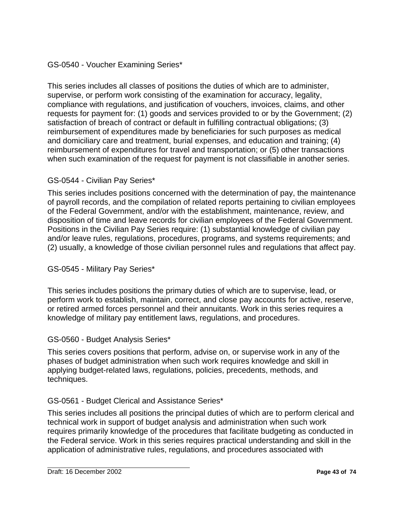# GS-0540 - Voucher Examining Series\*

This series includes all classes of positions the duties of which are to administer, supervise, or perform work consisting of the examination for accuracy, legality, compliance with regulations, and justification of vouchers, invoices, claims, and other requests for payment for: (1) goods and services provided to or by the Government; (2) satisfaction of breach of contract or default in fulfilling contractual obligations; (3) reimbursement of expenditures made by beneficiaries for such purposes as medical and domiciliary care and treatment, burial expenses, and education and training; (4) reimbursement of expenditures for travel and transportation; or (5) other transactions when such examination of the request for payment is not classifiable in another series.

## GS-0544 - Civilian Pay Series\*

This series includes positions concerned with the determination of pay, the maintenance of payroll records, and the compilation of related reports pertaining to civilian employees of the Federal Government, and/or with the establishment, maintenance, review, and disposition of time and leave records for civilian employees of the Federal Government. Positions in the Civilian Pay Series require: (1) substantial knowledge of civilian pay and/or leave rules, regulations, procedures, programs, and systems requirements; and (2) usually, a knowledge of those civilian personnel rules and regulations that affect pay.

GS-0545 - Military Pay Series\*

This series includes positions the primary duties of which are to supervise, lead, or perform work to establish, maintain, correct, and close pay accounts for active, reserve, or retired armed forces personnel and their annuitants. Work in this series requires a knowledge of military pay entitlement laws, regulations, and procedures.

## GS-0560 - Budget Analysis Series\*

This series covers positions that perform, advise on, or supervise work in any of the phases of budget administration when such work requires knowledge and skill in applying budget-related laws, regulations, policies, precedents, methods, and techniques.

# GS-0561 - Budget Clerical and Assistance Series\*

This series includes all positions the principal duties of which are to perform clerical and technical work in support of budget analysis and administration when such work requires primarily knowledge of the procedures that facilitate budgeting as conducted in the Federal service. Work in this series requires practical understanding and skill in the application of administrative rules, regulations, and procedures associated with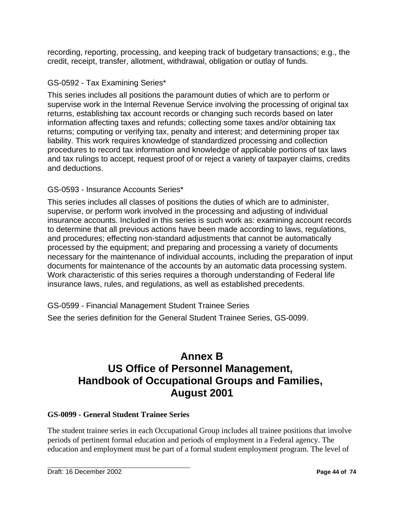recording, reporting, processing, and keeping track of budgetary transactions; e.g., the credit, receipt, transfer, allotment, withdrawal, obligation or outlay of funds.

# GS-0592 - Tax Examining Series\*

This series includes all positions the paramount duties of which are to perform or supervise work in the Internal Revenue Service involving the processing of original tax returns, establishing tax account records or changing such records based on later information affecting taxes and refunds; collecting some taxes and/or obtaining tax returns; computing or verifying tax, penalty and interest; and determining proper tax liability. This work requires knowledge of standardized processing and collection procedures to record tax information and knowledge of applicable portions of tax laws and tax rulings to accept, request proof of or reject a variety of taxpayer claims, credits and deductions.

# GS-0593 - Insurance Accounts Series\*

This series includes all classes of positions the duties of which are to administer, supervise, or perform work involved in the processing and adjusting of individual insurance accounts. Included in this series is such work as: examining account records to determine that all previous actions have been made according to laws, regulations, and procedures; effecting non-standard adjustments that cannot be automatically processed by the equipment; and preparing and processing a variety of documents necessary for the maintenance of individual accounts, including the preparation of input documents for maintenance of the accounts by an automatic data processing system. Work characteristic of this series requires a thorough understanding of Federal life insurance laws, rules, and regulations, as well as established precedents.

GS-0599 - Financial Management Student Trainee Series

See the series definition for the General Student Trainee Series, GS-0099.

# **Annex B US Office of Personnel Management, Handbook of Occupational Groups and Families, August 2001**

# **GS-0099 - General Student Trainee Series**

The student trainee series in each Occupational Group includes all trainee positions that involve periods of pertinent formal education and periods of employment in a Federal agency. The education and employment must be part of a formal student employment program. The level of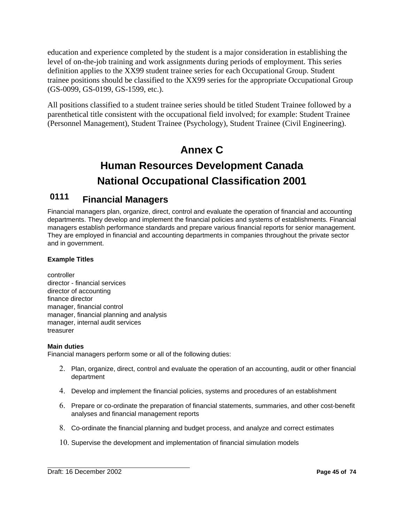education and experience completed by the student is a major consideration in establishing the level of on-the-job training and work assignments during periods of employment. This series definition applies to the XX99 student trainee series for each Occupational Group. Student trainee positions should be classified to the XX99 series for the appropriate Occupational Group (GS-0099, GS-0199, GS-1599, etc.).

All positions classified to a student trainee series should be titled Student Trainee followed by a parenthetical title consistent with the occupational field involved; for example: Student Trainee (Personnel Management), Student Trainee (Psychology), Student Trainee (Civil Engineering).

# **Annex C**

# **Human Resources Development Canada National Occupational Classification 2001**

# **0111 Financial Managers**

Financial managers plan, organize, direct, control and evaluate the operation of financial and accounting departments. They develop and implement the financial policies and systems of establishments. Financial managers establish performance standards and prepare various financial reports for senior management. They are employed in financial and accounting departments in companies throughout the private sector and in government.

## **Example Titles**

controller director - financial services director of accounting finance director manager, financial control manager, financial planning and analysis manager, internal audit services treasurer

### **Main duties**

Financial managers perform some or all of the following duties:

- 2. Plan, organize, direct, control and evaluate the operation of an accounting, audit or other financial department
- 4. Develop and implement the financial policies, systems and procedures of an establishment
- 6. Prepare or co-ordinate the preparation of financial statements, summaries, and other cost-benefit analyses and financial management reports
- 8. Co-ordinate the financial planning and budget process, and analyze and correct estimates
- 10. Supervise the development and implementation of financial simulation models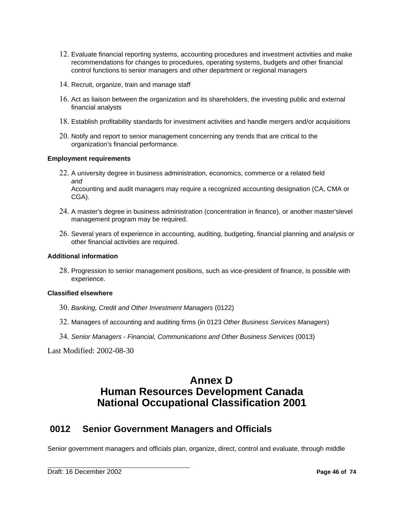- 12. Evaluate financial reporting systems, accounting procedures and investment activities and make recommendations for changes to procedures, operating systems, budgets and other financial control functions to senior managers and other department or regional managers
- 14. Recruit, organize, train and manage staff
- 16. Act as liaison between the organization and its shareholders, the investing public and external financial analysts
- 18. Establish profitability standards for investment activities and handle mergers and/or acquisitions
- 20. Notify and report to senior management concerning any trends that are critical to the organization's financial performance.

### **Employment requirements**

- 22. A university degree in business administration, economics, commerce or a related field *and*  Accounting and audit managers may require a recognized accounting designation (CA, CMA or CGA).
- 24. A master's degree in business administration (concentration in finance), or another master'slevel management program may be required.
- 26. Several years of experience in accounting, auditing, budgeting, financial planning and analysis or other financial activities are required.

### **Additional information**

28. Progression to senior management positions, such as vice-president of finance, is possible with experience.

#### **Classified elsewhere**

- 30. *Banking, Credit and Other Investment Managers* (0122)
- 32. Managers of accounting and auditing firms (in 0123 *Other Business Services Managers*)
- 34. *Senior Managers Financial, Communications and Other Business Services* (0013)

Last Modified: 2002-08-30

# **Annex D Human Resources Development Canada National Occupational Classification 2001**

# **0012 Senior Government Managers and Officials**

Senior government managers and officials plan, organize, direct, control and evaluate, through middle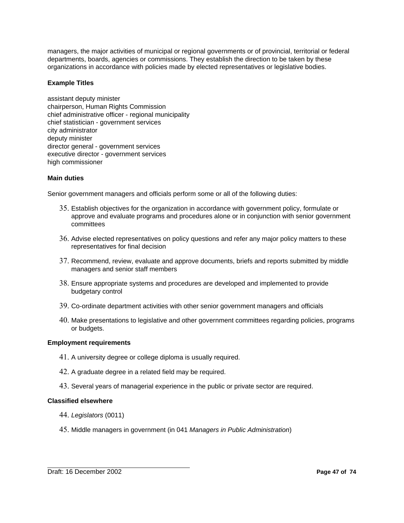managers, the major activities of municipal or regional governments or of provincial, territorial or federal departments, boards, agencies or commissions. They establish the direction to be taken by these organizations in accordance with policies made by elected representatives or legislative bodies.

### **Example Titles**

assistant deputy minister chairperson, Human Rights Commission chief administrative officer - regional municipality chief statistician - government services city administrator deputy minister director general - government services executive director - government services high commissioner

### **Main duties**

Senior government managers and officials perform some or all of the following duties:

- 35. Establish objectives for the organization in accordance with government policy, formulate or approve and evaluate programs and procedures alone or in conjunction with senior government committees
- 36. Advise elected representatives on policy questions and refer any major policy matters to these representatives for final decision
- 37. Recommend, review, evaluate and approve documents, briefs and reports submitted by middle managers and senior staff members
- 38. Ensure appropriate systems and procedures are developed and implemented to provide budgetary control
- 39. Co-ordinate department activities with other senior government managers and officials
- 40. Make presentations to legislative and other government committees regarding policies, programs or budgets.

#### **Employment requirements**

- 41. A university degree or college diploma is usually required.
- 42. A graduate degree in a related field may be required.
- 43. Several years of managerial experience in the public or private sector are required.

#### **Classified elsewhere**

- 44. *Legislators* (0011)
- 45. Middle managers in government (in 041 *Managers in Public Administration*)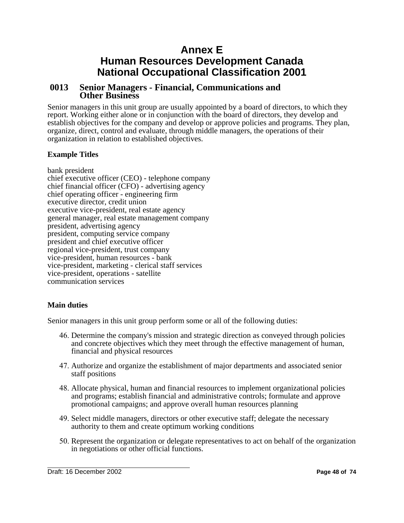# **Annex E Human Resources Development Canada National Occupational Classification 2001**

# **0013 Senior Managers - Financial, Communications and Other Business**

Senior managers in this unit group are usually appointed by a board of directors, to which they report. Working either alone or in conjunction with the board of directors, they develop and establish objectives for the company and develop or approve policies and programs. They plan, organize, direct, control and evaluate, through middle managers, the operations of their organization in relation to established objectives.

### **Example Titles**

bank president chief executive officer (CEO) - telephone company chief financial officer (CFO) - advertising agency chief operating officer - engineering firm executive director, credit union executive vice-president, real estate agency general manager, real estate management company president, advertising agency president, computing service company president and chief executive officer regional vice-president, trust company vice-president, human resources - bank vice-president, marketing - clerical staff services vice-president, operations - satellite communication services

## **Main duties**

Senior managers in this unit group perform some or all of the following duties:

- 46. Determine the company's mission and strategic direction as conveyed through policies and concrete objectives which they meet through the effective management of human, financial and physical resources
- 47. Authorize and organize the establishment of major departments and associated senior staff positions
- 48. Allocate physical, human and financial resources to implement organizational policies and programs; establish financial and administrative controls; formulate and approve promotional campaigns; and approve overall human resources planning
- 49. Select middle managers, directors or other executive staff; delegate the necessary authority to them and create optimum working conditions
- 50. Represent the organization or delegate representatives to act on behalf of the organization in negotiations or other official functions.

Draft: 16 December 2002 **Page 48 of 74**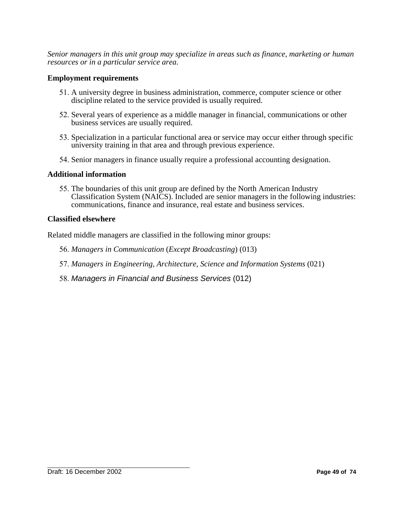*Senior managers in this unit group may specialize in areas such as finance, marketing or human resources or in a particular service area.* 

### **Employment requirements**

- 51. A university degree in business administration, commerce, computer science or other discipline related to the service provided is usually required.
- 52. Several years of experience as a middle manager in financial, communications or other business services are usually required.
- 53. Specialization in a particular functional area or service may occur either through specific university training in that area and through previous experience.
- 54. Senior managers in finance usually require a professional accounting designation.

### **Additional information**

55. The boundaries of this unit group are defined by the North American Industry Classification System (NAICS). Included are senior managers in the following industries: communications, finance and insurance, real estate and business services.

### **Classified elsewhere**

Related middle managers are classified in the following minor groups:

- 56. *Managers in Communication* (*Except Broadcasting*) (013)
- 57. *Managers in Engineering, Architecture, Science and Information Systems* (021)
- 58. *Managers in Financial and Business Services* (012)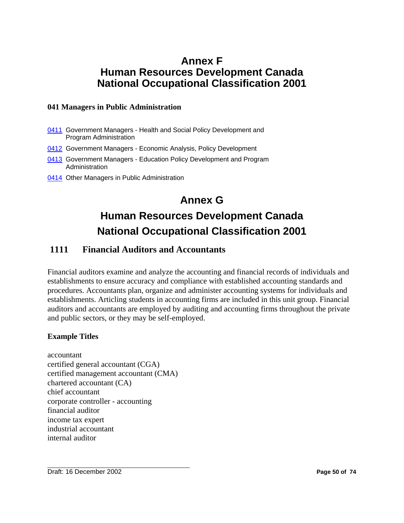# **Annex F Human Resources Development Canada National Occupational Classification 2001**

### **041 Managers in Public Administration**

- 0411 Government Managers Health and Social Policy Development and Program Administration
- 0412 Government Managers Economic Analysis, Policy Development
- 0413 Government Managers Education Policy Development and Program Administration
- 0414 Other Managers in Public Administration

# **Annex G Human Resources Development Canada National Occupational Classification 2001**

# **1111 Financial Auditors and Accountants**

Financial auditors examine and analyze the accounting and financial records of individuals and establishments to ensure accuracy and compliance with established accounting standards and procedures. Accountants plan, organize and administer accounting systems for individuals and establishments. Articling students in accounting firms are included in this unit group. Financial auditors and accountants are employed by auditing and accounting firms throughout the private and public sectors, or they may be self-employed.

## **Example Titles**

accountant certified general accountant (CGA) certified management accountant (CMA) chartered accountant (CA) chief accountant corporate controller - accounting financial auditor income tax expert industrial accountant internal auditor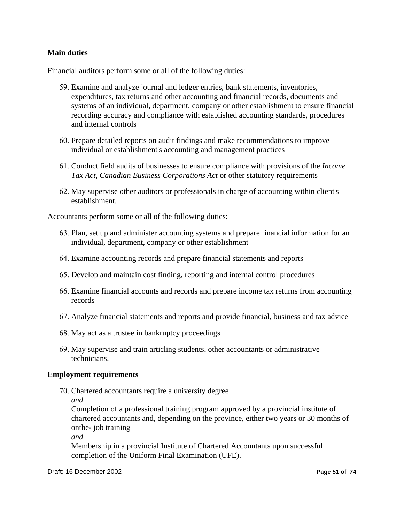### **Main duties**

Financial auditors perform some or all of the following duties:

- 59. Examine and analyze journal and ledger entries, bank statements, inventories, expenditures, tax returns and other accounting and financial records, documents and systems of an individual, department, company or other establishment to ensure financial recording accuracy and compliance with established accounting standards, procedures and internal controls
- 60. Prepare detailed reports on audit findings and make recommendations to improve individual or establishment's accounting and management practices
- 61. Conduct field audits of businesses to ensure compliance with provisions of the *Income Tax Act*, *Canadian Business Corporations Act* or other statutory requirements
- 62. May supervise other auditors or professionals in charge of accounting within client's establishment.

Accountants perform some or all of the following duties:

- 63. Plan, set up and administer accounting systems and prepare financial information for an individual, department, company or other establishment
- 64. Examine accounting records and prepare financial statements and reports
- 65. Develop and maintain cost finding, reporting and internal control procedures
- 66. Examine financial accounts and records and prepare income tax returns from accounting records
- 67. Analyze financial statements and reports and provide financial, business and tax advice
- 68. May act as a trustee in bankruptcy proceedings
- 69. May supervise and train articling students, other accountants or administrative technicians.

### **Employment requirements**

- 70. Chartered accountants require a university degree
	- *and*

Completion of a professional training program approved by a provincial institute of chartered accountants and, depending on the province, either two years or 30 months of onthe- job training

*and* 

Membership in a provincial Institute of Chartered Accountants upon successful completion of the Uniform Final Examination (UFE).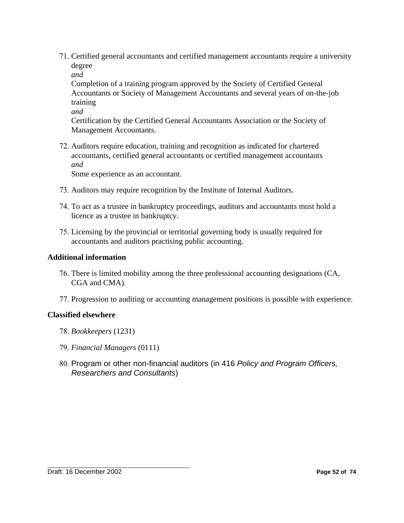71. Certified general accountants and certified management accountants require a university degree

*and* 

Completion of a training program approved by the Society of Certified General Accountants or Society of Management Accountants and several years of on-the-job training

*and* 

Certification by the Certified General Accountants Association or the Society of Management Accountants.

72. Auditors require education, training and recognition as indicated for chartered accountants, certified general accountants or certified management accountants *and* 

Some experience as an accountant.

- 73. Auditors may require recognition by the Institute of Internal Auditors.
- 74. To act as a trustee in bankruptcy proceedings, auditors and accountants must hold a licence as a trustee in bankruptcy.
- 75. Licensing by the provincial or territorial governing body is usually required for accountants and auditors practising public accounting.

## **Additional information**

- 76. There is limited mobility among the three professional accounting designations (CA, CGA and CMA).
- 77. Progression to auditing or accounting management positions is possible with experience.

## **Classified elsewhere**

- 78. *Bookkeepers* (1231)
- 79. *Financial Managers* (0111)
- 80. Program or other non-financial auditors (in 416 *Policy and Program Officers, Researchers and Consultants*)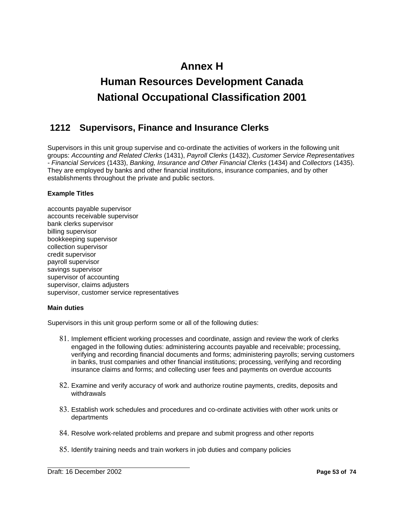# **Annex H**

# **Human Resources Development Canada National Occupational Classification 2001**

# **1212 Supervisors, Finance and Insurance Clerks**

Supervisors in this unit group supervise and co-ordinate the activities of workers in the following unit groups: *Accounting and Related Clerks* (1431), *Payroll Clerks* (1432), *Customer Service Representatives - Financial Services* (1433), *Banking, Insurance and Other Financial Clerks* (1434) and *Collectors* (1435). They are employed by banks and other financial institutions, insurance companies, and by other establishments throughout the private and public sectors.

### **Example Titles**

accounts payable supervisor accounts receivable supervisor bank clerks supervisor billing supervisor bookkeeping supervisor collection supervisor credit supervisor payroll supervisor savings supervisor supervisor of accounting supervisor, claims adjusters supervisor, customer service representatives

### **Main duties**

Supervisors in this unit group perform some or all of the following duties:

- 81. Implement efficient working processes and coordinate, assign and review the work of clerks engaged in the following duties: administering accounts payable and receivable; processing, verifying and recording financial documents and forms; administering payrolls; serving customers in banks, trust companies and other financial institutions; processing, verifying and recording insurance claims and forms; and collecting user fees and payments on overdue accounts
- 82. Examine and verify accuracy of work and authorize routine payments, credits, deposits and withdrawals
- 83. Establish work schedules and procedures and co-ordinate activities with other work units or departments
- 84. Resolve work-related problems and prepare and submit progress and other reports
- 85. Identify training needs and train workers in job duties and company policies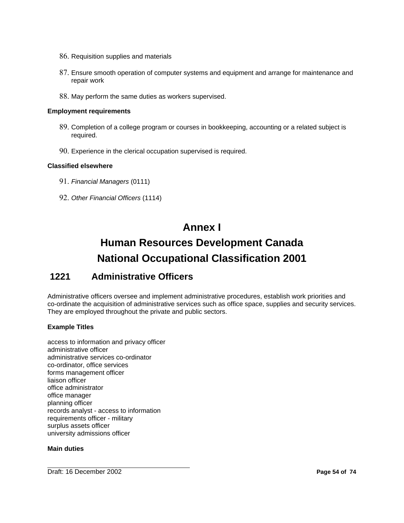- 86. Requisition supplies and materials
- 87. Ensure smooth operation of computer systems and equipment and arrange for maintenance and repair work
- 88. May perform the same duties as workers supervised.

### **Employment requirements**

- 89. Completion of a college program or courses in bookkeeping, accounting or a related subject is required.
- 90. Experience in the clerical occupation supervised is required.

### **Classified elsewhere**

- 91. *Financial Managers* (0111)
- 92. *Other Financial Officers* (1114)

# **Annex I**

# **Human Resources Development Canada National Occupational Classification 2001**

# **1221 Administrative Officers**

Administrative officers oversee and implement administrative procedures, establish work priorities and co-ordinate the acquisition of administrative services such as office space, supplies and security services. They are employed throughout the private and public sectors.

### **Example Titles**

access to information and privacy officer administrative officer administrative services co-ordinator co-ordinator, office services forms management officer liaison officer office administrator office manager planning officer records analyst - access to information requirements officer - military surplus assets officer university admissions officer

#### **Main duties**

**Draft: 16 December 2002 Page 54 of 74**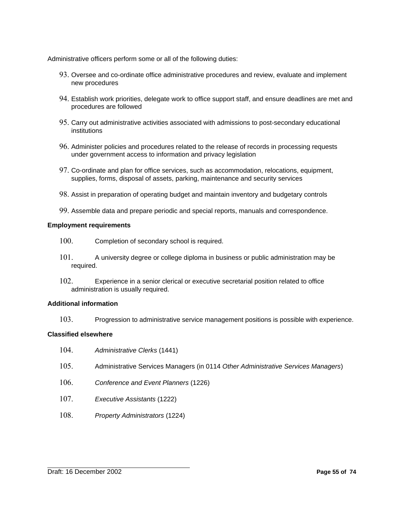Administrative officers perform some or all of the following duties:

- 93. Oversee and co-ordinate office administrative procedures and review, evaluate and implement new procedures
- 94. Establish work priorities, delegate work to office support staff, and ensure deadlines are met and procedures are followed
- 95. Carry out administrative activities associated with admissions to post-secondary educational institutions
- 96. Administer policies and procedures related to the release of records in processing requests under government access to information and privacy legislation
- 97. Co-ordinate and plan for office services, such as accommodation, relocations, equipment, supplies, forms, disposal of assets, parking, maintenance and security services
- 98. Assist in preparation of operating budget and maintain inventory and budgetary controls
- 99. Assemble data and prepare periodic and special reports, manuals and correspondence.

### **Employment requirements**

- 100. Completion of secondary school is required.
- 101. A university degree or college diploma in business or public administration may be required.
- 102. Experience in a senior clerical or executive secretarial position related to office administration is usually required.

#### **Additional information**

103. Progression to administrative service management positions is possible with experience.

#### **Classified elsewhere**

- 104. *Administrative Clerks* (1441)
- 105. Administrative Services Managers (in 0114 *Other Administrative Services Managers*)
- 106. *Conference and Event Planners* (1226)
- 107. *Executive Assistants* (1222)
- 108. *Property Administrators* (1224)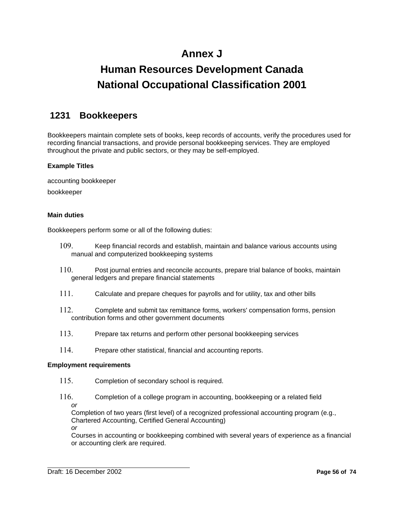# **Annex J**

# **Human Resources Development Canada National Occupational Classification 2001**

# **1231 Bookkeepers**

Bookkeepers maintain complete sets of books, keep records of accounts, verify the procedures used for recording financial transactions, and provide personal bookkeeping services. They are employed throughout the private and public sectors, or they may be self-employed.

### **Example Titles**

accounting bookkeeper

bookkeeper

### **Main duties**

Bookkeepers perform some or all of the following duties:

- 109. Keep financial records and establish, maintain and balance various accounts using manual and computerized bookkeeping systems
- 110. Post journal entries and reconcile accounts, prepare trial balance of books, maintain general ledgers and prepare financial statements
- 111. Calculate and prepare cheques for payrolls and for utility, tax and other bills
- 112. Complete and submit tax remittance forms, workers' compensation forms, pension contribution forms and other government documents
- 113. Prepare tax returns and perform other personal bookkeeping services
- 114. Prepare other statistical, financial and accounting reports.

### **Employment requirements**

- 115. Completion of secondary school is required.
- 116. Completion of a college program in accounting, bookkeeping or a related field *or*

Completion of two years (first level) of a recognized professional accounting program (e.g., Chartered Accounting, Certified General Accounting) *or* 

Courses in accounting or bookkeeping combined with several years of experience as a financial or accounting clerk are required.

Draft: 16 December 2002 **Page 56 of 74**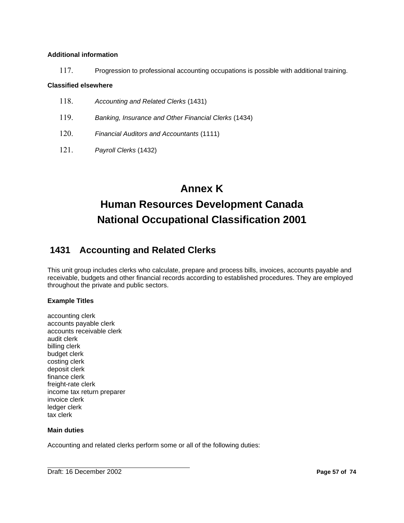### **Additional information**

117. Progression to professional accounting occupations is possible with additional training.

### **Classified elsewhere**

- 118. *Accounting and Related Clerks* (1431)
- 119. *Banking, Insurance and Other Financial Clerks* (1434)
- 120. *Financial Auditors and Accountants* (1111)
- 121. *Payroll Clerks* (1432)

# **Annex K Human Resources Development Canada National Occupational Classification 2001**

# **1431 Accounting and Related Clerks**

This unit group includes clerks who calculate, prepare and process bills, invoices, accounts payable and receivable, budgets and other financial records according to established procedures. They are employed throughout the private and public sectors.

### **Example Titles**

accounting clerk accounts payable clerk accounts receivable clerk audit clerk billing clerk budget clerk costing clerk deposit clerk finance clerk freight-rate clerk income tax return preparer invoice clerk ledger clerk tax clerk

### **Main duties**

Accounting and related clerks perform some or all of the following duties: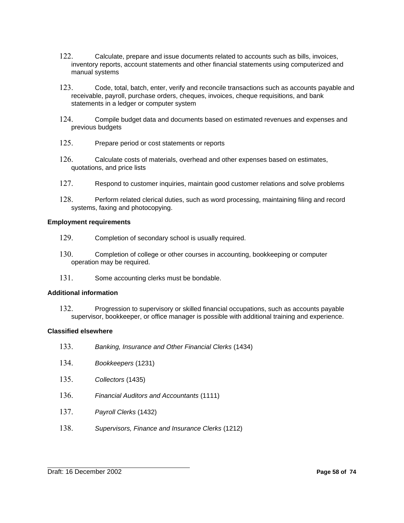- 122. Calculate, prepare and issue documents related to accounts such as bills, invoices, inventory reports, account statements and other financial statements using computerized and manual systems
- 123. Code, total, batch, enter, verify and reconcile transactions such as accounts payable and receivable, payroll, purchase orders, cheques, invoices, cheque requisitions, and bank statements in a ledger or computer system
- 124. Compile budget data and documents based on estimated revenues and expenses and previous budgets
- 125. Prepare period or cost statements or reports
- 126. Calculate costs of materials, overhead and other expenses based on estimates, quotations, and price lists
- 127. Respond to customer inquiries, maintain good customer relations and solve problems
- 128. Perform related clerical duties, such as word processing, maintaining filing and record systems, faxing and photocopying.

#### **Employment requirements**

- 129. Completion of secondary school is usually required.
- 130. Completion of college or other courses in accounting, bookkeeping or computer operation may be required.
- 131. Some accounting clerks must be bondable.

#### **Additional information**

132. Progression to supervisory or skilled financial occupations, such as accounts payable supervisor, bookkeeper, or office manager is possible with additional training and experience.

### **Classified elsewhere**

- 133. *Banking, Insurance and Other Financial Clerks* (1434)
- 134. *Bookkeepers* (1231)
- 135. *Collectors* (1435)
- 136. *Financial Auditors and Accountants* (1111)
- 137. *Payroll Clerks* (1432)
- 138. *Supervisors, Finance and Insurance Clerks* (1212)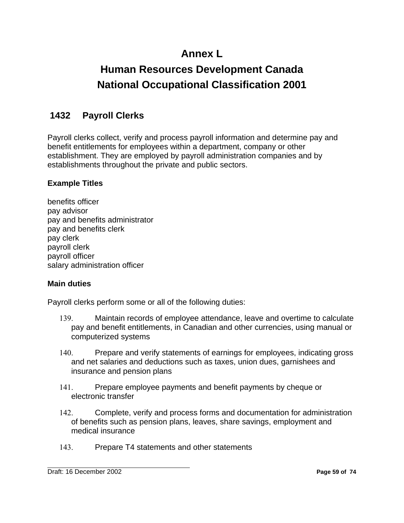# **Annex L**

# **Human Resources Development Canada National Occupational Classification 2001**

# **1432 Payroll Clerks**

Payroll clerks collect, verify and process payroll information and determine pay and benefit entitlements for employees within a department, company or other establishment. They are employed by payroll administration companies and by establishments throughout the private and public sectors.

# **Example Titles**

benefits officer pay advisor pay and benefits administrator pay and benefits clerk pay clerk payroll clerk payroll officer salary administration officer

# **Main duties**

Payroll clerks perform some or all of the following duties:

- 139. Maintain records of employee attendance, leave and overtime to calculate pay and benefit entitlements, in Canadian and other currencies, using manual or computerized systems
- 140. Prepare and verify statements of earnings for employees, indicating gross and net salaries and deductions such as taxes, union dues, garnishees and insurance and pension plans
- 141. Prepare employee payments and benefit payments by cheque or electronic transfer
- 142. Complete, verify and process forms and documentation for administration of benefits such as pension plans, leaves, share savings, employment and medical insurance
- 143. Prepare T4 statements and other statements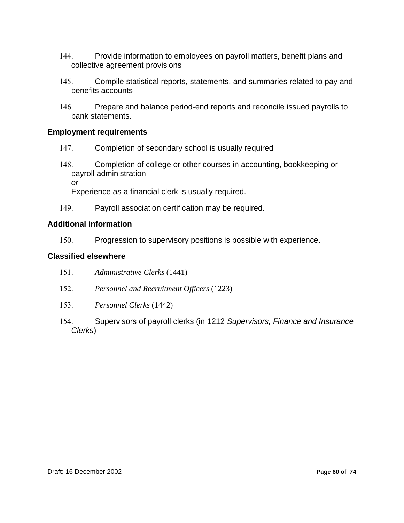- 144. Provide information to employees on payroll matters, benefit plans and collective agreement provisions
- 145. Compile statistical reports, statements, and summaries related to pay and benefits accounts
- 146. Prepare and balance period-end reports and reconcile issued payrolls to bank statements.

## **Employment requirements**

- 147. Completion of secondary school is usually required
- 148. Completion of college or other courses in accounting, bookkeeping or payroll administration *or*

Experience as a financial clerk is usually required.

149. Payroll association certification may be required.

## **Additional information**

150. Progression to supervisory positions is possible with experience.

## **Classified elsewhere**

- 151. *Administrative Clerks* (1441)
- 152. *Personnel and Recruitment Officers* (1223)
- 153. *Personnel Clerks* (1442)
- 154. Supervisors of payroll clerks (in 1212 *Supervisors, Finance and Insurance Clerks*)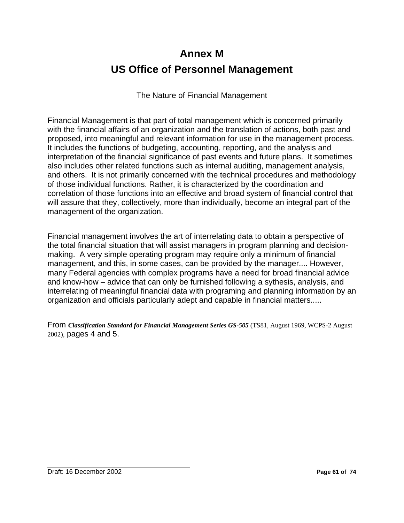# **Annex M US Office of Personnel Management**

The Nature of Financial Management

Financial Management is that part of total management which is concerned primarily with the financial affairs of an organization and the translation of actions, both past and proposed, into meaningful and relevant information for use in the management process. It includes the functions of budgeting, accounting, reporting, and the analysis and interpretation of the financial significance of past events and future plans. It sometimes also includes other related functions such as internal auditing, management analysis, and others. It is not primarily concerned with the technical procedures and methodology of those individual functions. Rather, it is characterized by the coordination and correlation of those functions into an effective and broad system of financial control that will assure that they, collectively, more than individually, become an integral part of the management of the organization.

Financial management involves the art of interrelating data to obtain a perspective of the total financial situation that will assist managers in program planning and decisionmaking. A very simple operating program may require only a minimum of financial management, and this, in some cases, can be provided by the manager.... However, many Federal agencies with complex programs have a need for broad financial advice and know-how – advice that can only be furnished following a sythesis, analysis, and interrelating of meaningful financial data with programing and planning information by an organization and officials particularly adept and capable in financial matters.....

From *Classification Standard for Financial Management Series GS-505* (TS81, August 1969, WCPS-2 August 2002), pages 4 and 5.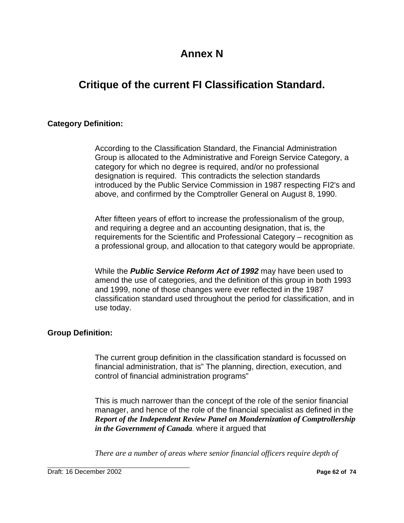# **Annex N**

# **Critique of the current FI Classification Standard.**

## **Category Definition:**

According to the Classification Standard, the Financial Administration Group is allocated to the Administrative and Foreign Service Category, a category for which no degree is required, and/or no professional designation is required. This contradicts the selection standards introduced by the Public Service Commission in 1987 respecting FI2's and above, and confirmed by the Comptroller General on August 8, 1990.

After fifteen years of effort to increase the professionalism of the group, and requiring a degree and an accounting designation, that is, the requirements for the Scientific and Professional Category – recognition as a professional group, and allocation to that category would be appropriate.

While the *Public Service Reform Act of 1992* may have been used to amend the use of categories, and the definition of this group in both 1993 and 1999, none of those changes were ever reflected in the 1987 classification standard used throughout the period for classification, and in use today.

## **Group Definition:**

The current group definition in the classification standard is focussed on financial administration, that is" The planning, direction, execution, and control of financial administration programs"

This is much narrower than the concept of the role of the senior financial manager, and hence of the role of the financial specialist as defined in the *Report of the Independent Review Panel on Mondernization of Comptrollership in the Government of Canada*. where it argued that

*There are a number of areas where senior financial officers require depth of*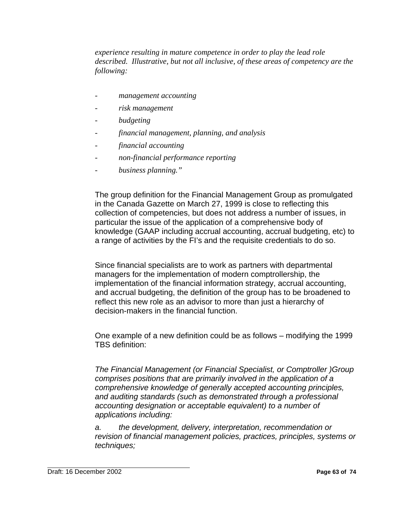*experience resulting in mature competence in order to play the lead role described. Illustrative, but not all inclusive, of these areas of competency are the following:*

- *management accounting*
- *risk management*
- *budgeting*
- *financial management, planning, and analysis*
- *financial accounting*
- *non-financial performance reporting*
- *business planning."*

The group definition for the Financial Management Group as promulgated in the Canada Gazette on March 27, 1999 is close to reflecting this collection of competencies, but does not address a number of issues, in particular the issue of the application of a comprehensive body of knowledge (GAAP including accrual accounting, accrual budgeting, etc) to a range of activities by the FI's and the requisite credentials to do so.

Since financial specialists are to work as partners with departmental managers for the implementation of modern comptrollership, the implementation of the financial information strategy, accrual accounting, and accrual budgeting, the definition of the group has to be broadened to reflect this new role as an advisor to more than just a hierarchy of decision-makers in the financial function.

One example of a new definition could be as follows – modifying the 1999 TBS definition:

*The Financial Management (or Financial Specialist, or Comptroller )Group comprises positions that are primarily involved in the application of a comprehensive knowledge of generally accepted accounting principles, and auditing standards (such as demonstrated through a professional accounting designation or acceptable equivalent) to a number of applications including:*

*a. the development, delivery, interpretation, recommendation or revision of financial management policies, practices, principles, systems or techniques;*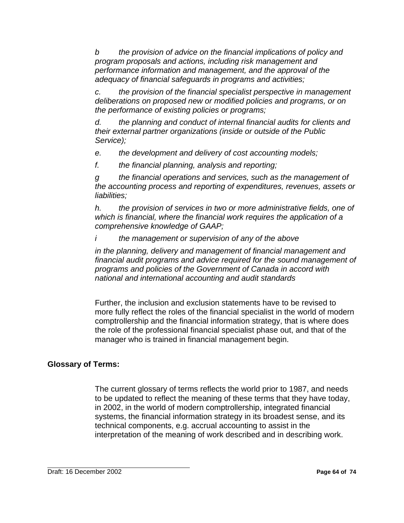*b the provision of advice on the financial implications of policy and program proposals and actions, including risk management and performance information and management, and the approval of the adequacy of financial safeguards in programs and activities;*

*c. the provision of the financial specialist perspective in management deliberations on proposed new or modified policies and programs, or on the performance of existing policies or programs;*

*d. the planning and conduct of internal financial audits for clients and their external partner organizations (inside or outside of the Public Service);* 

*e. the development and delivery of cost accounting models;*

*f. the financial planning, analysis and reporting;* 

*g the financial operations and services, such as the management of the accounting process and reporting of expenditures, revenues, assets or liabilities;* 

*h. the provision of services in two or more administrative fields, one of which is financial, where the financial work requires the application of a comprehensive knowledge of GAAP;*

*i the management or supervision of any of the above*

*in the planning, delivery and management of financial management and financial audit programs and advice required for the sound management of programs and policies of the Government of Canada in accord with national and international accounting and audit standards*

Further, the inclusion and exclusion statements have to be revised to more fully reflect the roles of the financial specialist in the world of modern comptrollership and the financial information strategy, that is where does the role of the professional financial specialist phase out, and that of the manager who is trained in financial management begin.

# **Glossary of Terms:**

The current glossary of terms reflects the world prior to 1987, and needs to be updated to reflect the meaning of these terms that they have today, in 2002, in the world of modern comptrollership, integrated financial systems, the financial information strategy in its broadest sense, and its technical components, e.g. accrual accounting to assist in the interpretation of the meaning of work described and in describing work.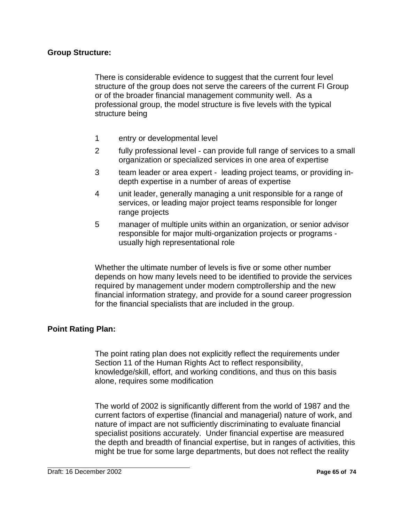### **Group Structure:**

There is considerable evidence to suggest that the current four level structure of the group does not serve the careers of the current FI Group or of the broader financial management community well. As a professional group, the model structure is five levels with the typical structure being

- 1 entry or developmental level
- 2 fully professional level can provide full range of services to a small organization or specialized services in one area of expertise
- 3 team leader or area expert leading project teams, or providing indepth expertise in a number of areas of expertise
- 4 unit leader, generally managing a unit responsible for a range of services, or leading major project teams responsible for longer range projects
- 5 manager of multiple units within an organization, or senior advisor responsible for major multi-organization projects or programs usually high representational role

Whether the ultimate number of levels is five or some other number depends on how many levels need to be identified to provide the services required by management under modern comptrollership and the new financial information strategy, and provide for a sound career progression for the financial specialists that are included in the group.

## **Point Rating Plan:**

The point rating plan does not explicitly reflect the requirements under Section 11 of the Human Rights Act to reflect responsibility, knowledge/skill, effort, and working conditions, and thus on this basis alone, requires some modification

The world of 2002 is significantly different from the world of 1987 and the current factors of expertise (financial and managerial) nature of work, and nature of impact are not sufficiently discriminating to evaluate financial specialist positions accurately. Under financial expertise are measured the depth and breadth of financial expertise, but in ranges of activities, this might be true for some large departments, but does not reflect the reality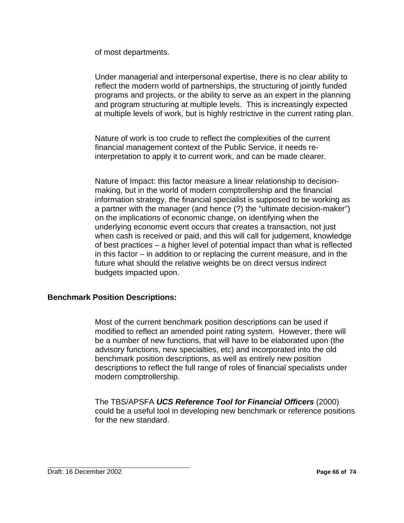of most departments.

Under managerial and interpersonal expertise, there is no clear ability to reflect the modern world of partnerships, the structuring of jointly funded programs and projects, or the ability to serve as an expert in the planning and program structuring at multiple levels. This is increasingly expected at multiple levels of work, but is highly restrictive in the current rating plan.

Nature of work is too crude to reflect the complexities of the current financial management context of the Public Service, it needs reinterpretation to apply it to current work, and can be made clearer.

Nature of Impact: this factor measure a linear relationship to decisionmaking, but in the world of modern comptrollership and the financial information strategy, the financial specialist is supposed to be working as a partner with the manager (and hence (?) the "ultimate decision-maker") on the implications of economic change, on identifying when the underlying economic event occurs that creates a transaction, not just when cash is received or paid, and this will call for judgement, knowledge of best practices – a higher level of potential impact than what is reflected in this factor – in addition to or replacing the current measure, and in the future what should the relative weights be on direct versus indirect budgets impacted upon.

## **Benchmark Position Descriptions:**

Most of the current benchmark position descriptions can be used if modified to reflect an amended point rating system. However, there will be a number of new functions, that will have to be elaborated upon (the advisory functions, new specialties, etc) and incorporated into the old benchmark position descriptions, as well as entirely new position descriptions to reflect the full range of roles of financial specialists under modern comptrollership.

The TBS/APSFA *UCS Reference Tool for Financial Officers* (2000) could be a useful tool in developing new benchmark or reference positions for the new standard.

Draft: 16 December 2002 **Page 66 of 74**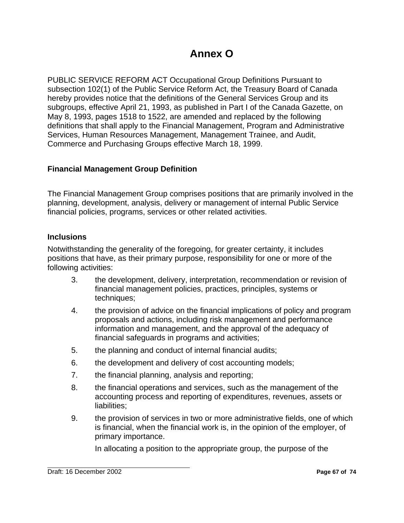# **Annex O**

PUBLIC SERVICE REFORM ACT Occupational Group Definitions Pursuant to subsection 102(1) of the Public Service Reform Act, the Treasury Board of Canada hereby provides notice that the definitions of the General Services Group and its subgroups, effective April 21, 1993, as published in Part I of the Canada Gazette, on May 8, 1993, pages 1518 to 1522, are amended and replaced by the following definitions that shall apply to the Financial Management, Program and Administrative Services, Human Resources Management, Management Trainee, and Audit, Commerce and Purchasing Groups effective March 18, 1999.

# **Financial Management Group Definition**

The Financial Management Group comprises positions that are primarily involved in the planning, development, analysis, delivery or management of internal Public Service financial policies, programs, services or other related activities.

# **Inclusions**

Notwithstanding the generality of the foregoing, for greater certainty, it includes positions that have, as their primary purpose, responsibility for one or more of the following activities:

- 3. the development, delivery, interpretation, recommendation or revision of financial management policies, practices, principles, systems or techniques;
- 4. the provision of advice on the financial implications of policy and program proposals and actions, including risk management and performance information and management, and the approval of the adequacy of financial safeguards in programs and activities;
- 5. the planning and conduct of internal financial audits;
- 6. the development and delivery of cost accounting models;
- 7. the financial planning, analysis and reporting;
- 8. the financial operations and services, such as the management of the accounting process and reporting of expenditures, revenues, assets or liabilities;
- 9. the provision of services in two or more administrative fields, one of which is financial, when the financial work is, in the opinion of the employer, of primary importance.

In allocating a position to the appropriate group, the purpose of the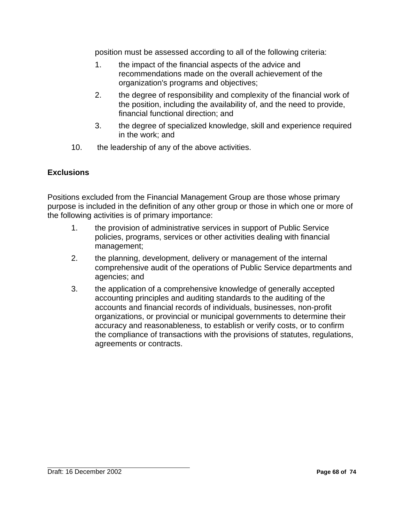position must be assessed according to all of the following criteria:

- 1. the impact of the financial aspects of the advice and recommendations made on the overall achievement of the organization's programs and objectives;
- 2. the degree of responsibility and complexity of the financial work of the position, including the availability of, and the need to provide, financial functional direction; and
- 3. the degree of specialized knowledge, skill and experience required in the work; and
- 10. the leadership of any of the above activities.

# **Exclusions**

Positions excluded from the Financial Management Group are those whose primary purpose is included in the definition of any other group or those in which one or more of the following activities is of primary importance:

- 1. the provision of administrative services in support of Public Service policies, programs, services or other activities dealing with financial management;
- 2. the planning, development, delivery or management of the internal comprehensive audit of the operations of Public Service departments and agencies; and
- 3. the application of a comprehensive knowledge of generally accepted accounting principles and auditing standards to the auditing of the accounts and financial records of individuals, businesses, non-profit organizations, or provincial or municipal governments to determine their accuracy and reasonableness, to establish or verify costs, or to confirm the compliance of transactions with the provisions of statutes, regulations, agreements or contracts.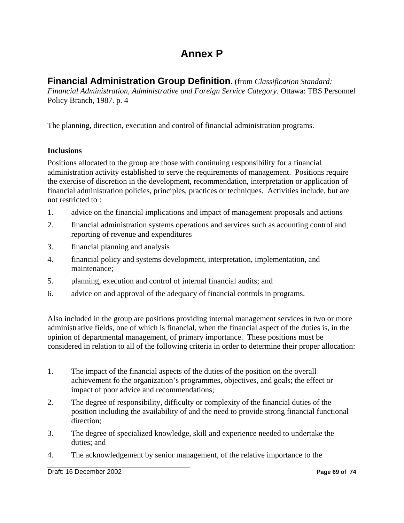# **Annex P**

# **Financial Administration Group Definition**. (from *Classification Standard:*

*Financial Administration, Administrative and Foreign Service Category*. Ottawa: TBS Personnel Policy Branch, 1987. p. 4

The planning, direction, execution and control of financial administration programs.

# **Inclusions**

Positions allocated to the group are those with continuing responsibility for a financial administration activity established to serve the requirements of management. Positions require the exercise of discretion in the development, recommendation, interpretation or application of financial administration policies, principles, practices or techniques. Activities include, but are not restricted to :

- 1. advice on the financial implications and impact of management proposals and actions
- 2. financial administration systems operations and services such as acounting control and reporting of revenue and expenditures
- 3. financial planning and analysis
- 4. financial policy and systems development, interpretation, implementation, and maintenance;
- 5. planning, execution and control of internal financial audits; and
- 6. advice on and approval of the adequacy of financial controls in programs.

Also included in the group are positions providing internal management services in two or more administrative fields, one of which is financial, when the financial aspect of the duties is, in the opinion of departmental management, of primary importance. These positions must be considered in relation to all of the following criteria in order to determine their proper allocation:

- 1. The impact of the financial aspects of the duties of the position on the overall achievement fo the organization's programmes, objectives, and goals; the effect or impact of poor advice and recommendations;
- 2. The degree of responsibility, difficulty or complexity of the financial duties of the position including the availability of and the need to provide strong financial functional direction;
- 3. The degree of specialized knowledge, skill and experience needed to undertake the duties; and
- 4. The acknowledgement by senior management, of the relative importance to the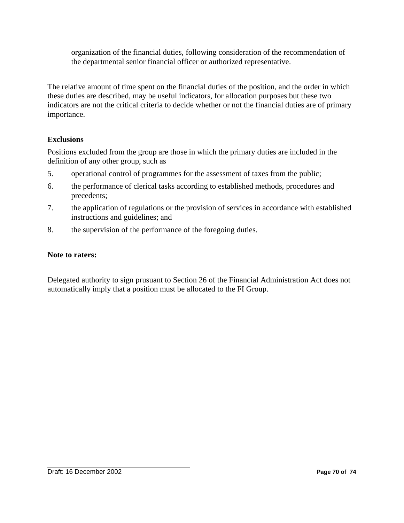organization of the financial duties, following consideration of the recommendation of the departmental senior financial officer or authorized representative.

The relative amount of time spent on the financial duties of the position, and the order in which these duties are described, may be useful indicators, for allocation purposes but these two indicators are not the critical criteria to decide whether or not the financial duties are of primary importance.

# **Exclusions**

Positions excluded from the group are those in which the primary duties are included in the definition of any other group, such as

- 5. operational control of programmes for the assessment of taxes from the public;
- 6. the performance of clerical tasks according to established methods, procedures and precedents;
- 7. the application of regulations or the provision of services in accordance with established instructions and guidelines; and
- 8. the supervision of the performance of the foregoing duties.

## **Note to raters:**

Delegated authority to sign prusuant to Section 26 of the Financial Administration Act does not automatically imply that a position must be allocated to the FI Group.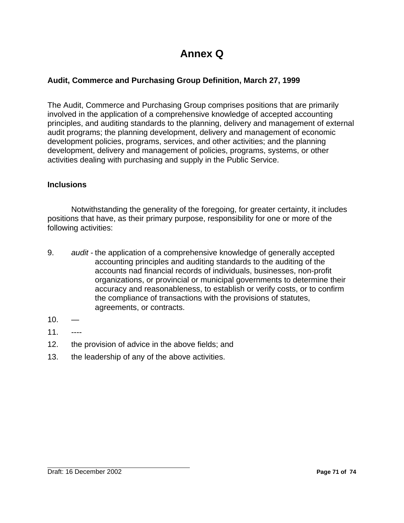# **Annex Q**

# **Audit, Commerce and Purchasing Group Definition, March 27, 1999**

The Audit, Commerce and Purchasing Group comprises positions that are primarily involved in the application of a comprehensive knowledge of accepted accounting principles, and auditing standards to the planning, delivery and management of external audit programs; the planning development, delivery and management of economic development policies, programs, services, and other activities; and the planning development, delivery and management of policies, programs, systems, or other activities dealing with purchasing and supply in the Public Service.

# **Inclusions**

Notwithstanding the generality of the foregoing, for greater certainty, it includes positions that have, as their primary purpose, responsibility for one or more of the following activities:

- 9. *audit* the application of a comprehensive knowledge of generally accepted accounting principles and auditing standards to the auditing of the accounts nad financial records of individuals, businesses, non-profit organizations, or provincial or municipal governments to determine their accuracy and reasonableness, to establish or verify costs, or to confirm the compliance of transactions with the provisions of statutes, agreements, or contracts.
- $10<sub>1</sub>$
- 11. ----
- 12. the provision of advice in the above fields; and
- 13. the leadership of any of the above activities.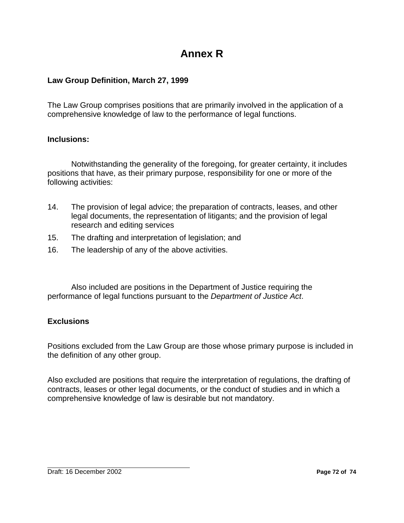# **Annex R**

## **Law Group Definition, March 27, 1999**

The Law Group comprises positions that are primarily involved in the application of a comprehensive knowledge of law to the performance of legal functions.

### **Inclusions:**

Notwithstanding the generality of the foregoing, for greater certainty, it includes positions that have, as their primary purpose, responsibility for one or more of the following activities:

- 14. The provision of legal advice; the preparation of contracts, leases, and other legal documents, the representation of litigants; and the provision of legal research and editing services
- 15. The drafting and interpretation of legislation; and
- 16. The leadership of any of the above activities.

Also included are positions in the Department of Justice requiring the performance of legal functions pursuant to the *Department of Justice Act*.

### **Exclusions**

Positions excluded from the Law Group are those whose primary purpose is included in the definition of any other group.

Also excluded are positions that require the interpretation of regulations, the drafting of contracts, leases or other legal documents, or the conduct of studies and in which a comprehensive knowledge of law is desirable but not mandatory.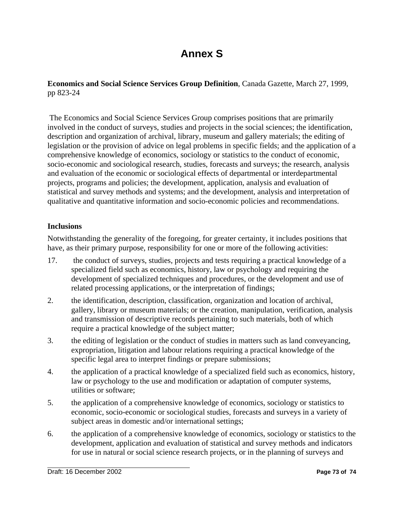# **Annex S**

### **Economics and Social Science Services Group Definition**, Canada Gazette, March 27, 1999, pp 823-24

 The Economics and Social Science Services Group comprises positions that are primarily involved in the conduct of surveys, studies and projects in the social sciences; the identification, description and organization of archival, library, museum and gallery materials; the editing of legislation or the provision of advice on legal problems in specific fields; and the application of a comprehensive knowledge of economics, sociology or statistics to the conduct of economic, socio-economic and sociological research, studies, forecasts and surveys; the research, analysis and evaluation of the economic or sociological effects of departmental or interdepartmental projects, programs and policies; the development, application, analysis and evaluation of statistical and survey methods and systems; and the development, analysis and interpretation of qualitative and quantitative information and socio-economic policies and recommendations.

### **Inclusions**

Notwithstanding the generality of the foregoing, for greater certainty, it includes positions that have, as their primary purpose, responsibility for one or more of the following activities:

- 17. the conduct of surveys, studies, projects and tests requiring a practical knowledge of a specialized field such as economics, history, law or psychology and requiring the development of specialized techniques and procedures, or the development and use of related processing applications, or the interpretation of findings;
- 2. the identification, description, classification, organization and location of archival, gallery, library or museum materials; or the creation, manipulation, verification, analysis and transmission of descriptive records pertaining to such materials, both of which require a practical knowledge of the subject matter;
- 3. the editing of legislation or the conduct of studies in matters such as land conveyancing, expropriation, litigation and labour relations requiring a practical knowledge of the specific legal area to interpret findings or prepare submissions;
- 4. the application of a practical knowledge of a specialized field such as economics, history, law or psychology to the use and modification or adaptation of computer systems, utilities or software;
- 5. the application of a comprehensive knowledge of economics, sociology or statistics to economic, socio-economic or sociological studies, forecasts and surveys in a variety of subject areas in domestic and/or international settings;
- 6. the application of a comprehensive knowledge of economics, sociology or statistics to the development, application and evaluation of statistical and survey methods and indicators for use in natural or social science research projects, or in the planning of surveys and